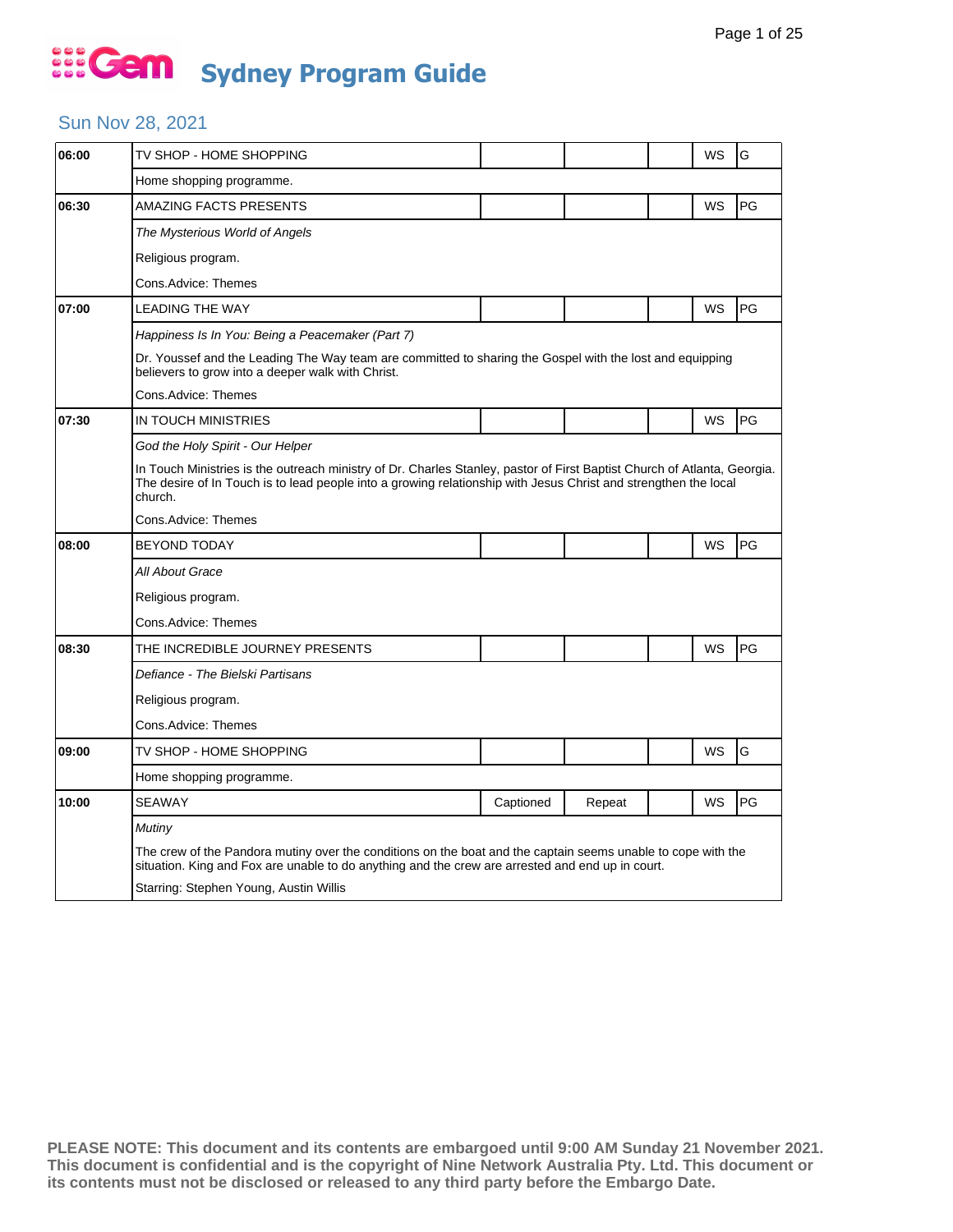### Sun Nov 28, 2021

| 06:00 | TV SHOP - HOME SHOPPING                                                                                                                                                                                                                                |           |        |  | WS | G  |  |  |  |
|-------|--------------------------------------------------------------------------------------------------------------------------------------------------------------------------------------------------------------------------------------------------------|-----------|--------|--|----|----|--|--|--|
|       | Home shopping programme.                                                                                                                                                                                                                               |           |        |  |    |    |  |  |  |
| 06:30 | <b>AMAZING FACTS PRESENTS</b>                                                                                                                                                                                                                          |           |        |  | WS | PG |  |  |  |
|       | The Mysterious World of Angels                                                                                                                                                                                                                         |           |        |  |    |    |  |  |  |
|       | Religious program.                                                                                                                                                                                                                                     |           |        |  |    |    |  |  |  |
|       | Cons.Advice: Themes                                                                                                                                                                                                                                    |           |        |  |    |    |  |  |  |
| 07:00 | <b>LEADING THE WAY</b>                                                                                                                                                                                                                                 |           |        |  | WS | PG |  |  |  |
|       | Happiness Is In You: Being a Peacemaker (Part 7)                                                                                                                                                                                                       |           |        |  |    |    |  |  |  |
|       | Dr. Youssef and the Leading The Way team are committed to sharing the Gospel with the lost and equipping<br>believers to grow into a deeper walk with Christ.                                                                                          |           |        |  |    |    |  |  |  |
|       | Cons.Advice: Themes                                                                                                                                                                                                                                    |           |        |  |    |    |  |  |  |
| 07:30 | IN TOUCH MINISTRIES                                                                                                                                                                                                                                    |           |        |  | WS | PG |  |  |  |
|       | God the Holy Spirit - Our Helper                                                                                                                                                                                                                       |           |        |  |    |    |  |  |  |
|       | In Touch Ministries is the outreach ministry of Dr. Charles Stanley, pastor of First Baptist Church of Atlanta, Georgia.<br>The desire of In Touch is to lead people into a growing relationship with Jesus Christ and strengthen the local<br>church. |           |        |  |    |    |  |  |  |
|       | Cons.Advice: Themes                                                                                                                                                                                                                                    |           |        |  |    |    |  |  |  |
| 08:00 | <b>BEYOND TODAY</b>                                                                                                                                                                                                                                    |           |        |  | WS | PG |  |  |  |
|       | All About Grace                                                                                                                                                                                                                                        |           |        |  |    |    |  |  |  |
|       | Religious program.                                                                                                                                                                                                                                     |           |        |  |    |    |  |  |  |
|       | Cons.Advice: Themes                                                                                                                                                                                                                                    |           |        |  |    |    |  |  |  |
| 08:30 | THE INCREDIBLE JOURNEY PRESENTS                                                                                                                                                                                                                        |           |        |  | WS | PG |  |  |  |
|       | Defiance - The Bielski Partisans                                                                                                                                                                                                                       |           |        |  |    |    |  |  |  |
|       | Religious program.                                                                                                                                                                                                                                     |           |        |  |    |    |  |  |  |
|       | Cons.Advice: Themes                                                                                                                                                                                                                                    |           |        |  |    |    |  |  |  |
| 09:00 | TV SHOP - HOME SHOPPING                                                                                                                                                                                                                                |           |        |  | WS | G  |  |  |  |
|       | Home shopping programme.                                                                                                                                                                                                                               |           |        |  |    |    |  |  |  |
| 10:00 | <b>SEAWAY</b>                                                                                                                                                                                                                                          | Captioned | Repeat |  | WS | PG |  |  |  |
|       | Mutiny                                                                                                                                                                                                                                                 |           |        |  |    |    |  |  |  |
|       | The crew of the Pandora mutiny over the conditions on the boat and the captain seems unable to cope with the<br>situation. King and Fox are unable to do anything and the crew are arrested and end up in court.                                       |           |        |  |    |    |  |  |  |
|       | Starring: Stephen Young, Austin Willis                                                                                                                                                                                                                 |           |        |  |    |    |  |  |  |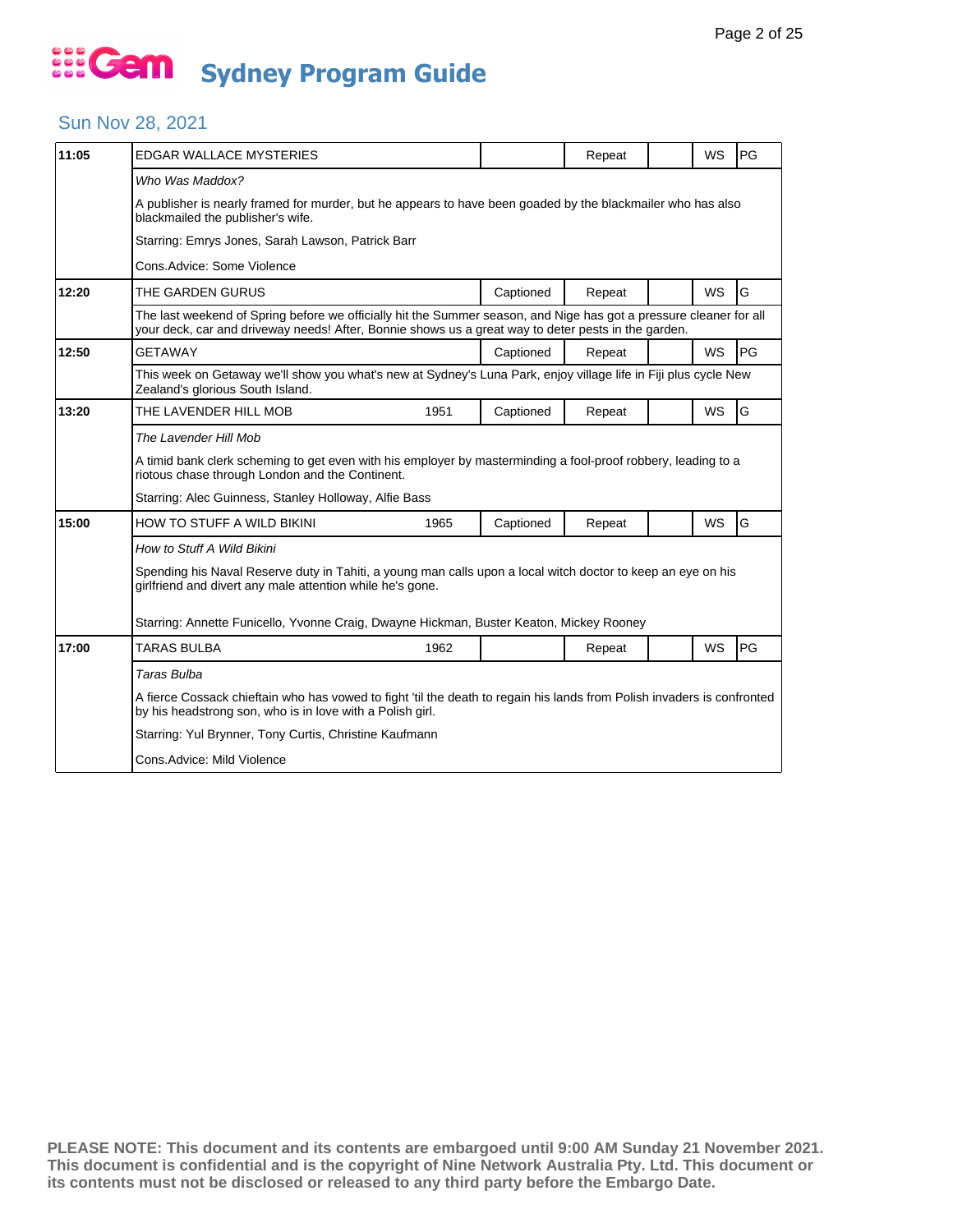### Sun Nov 28, 2021

| 11:05 | EDGAR WALLACE MYSTERIES                                                                                                                                                                                                   |      |           | Repeat |  | <b>WS</b> | PG |  |
|-------|---------------------------------------------------------------------------------------------------------------------------------------------------------------------------------------------------------------------------|------|-----------|--------|--|-----------|----|--|
|       | Who Was Maddox?<br>A publisher is nearly framed for murder, but he appears to have been goaded by the blackmailer who has also<br>blackmailed the publisher's wife.                                                       |      |           |        |  |           |    |  |
|       | Starring: Emrys Jones, Sarah Lawson, Patrick Barr                                                                                                                                                                         |      |           |        |  |           |    |  |
|       | Cons.Advice: Some Violence                                                                                                                                                                                                |      |           |        |  |           |    |  |
| 12:20 | THE GARDEN GURUS                                                                                                                                                                                                          |      | Captioned | Repeat |  | <b>WS</b> | G  |  |
|       | The last weekend of Spring before we officially hit the Summer season, and Nige has got a pressure cleaner for all<br>your deck, car and driveway needs! After, Bonnie shows us a great way to deter pests in the garden. |      |           |        |  |           |    |  |
| 12:50 | <b>GETAWAY</b>                                                                                                                                                                                                            |      | Captioned | Repeat |  | <b>WS</b> | PG |  |
|       | This week on Getaway we'll show you what's new at Sydney's Luna Park, enjoy village life in Fiji plus cycle New<br>Zealand's glorious South Island.                                                                       |      |           |        |  |           |    |  |
| 13:20 | THE LAVENDER HILL MOB                                                                                                                                                                                                     | 1951 | Captioned | Repeat |  | <b>WS</b> | G  |  |
|       | The Lavender Hill Mob                                                                                                                                                                                                     |      |           |        |  |           |    |  |
|       | A timid bank clerk scheming to get even with his employer by masterminding a fool-proof robbery, leading to a<br>riotous chase through London and the Continent.                                                          |      |           |        |  |           |    |  |
|       | Starring: Alec Guinness, Stanley Holloway, Alfie Bass                                                                                                                                                                     |      |           |        |  |           |    |  |
| 15:00 | <b>HOW TO STUFF A WILD BIKINI</b>                                                                                                                                                                                         | 1965 | Captioned | Repeat |  | WS        | G  |  |
|       | How to Stuff A Wild Bikini                                                                                                                                                                                                |      |           |        |  |           |    |  |
|       | Spending his Naval Reserve duty in Tahiti, a young man calls upon a local witch doctor to keep an eye on his<br>girlfriend and divert any male attention while he's gone.                                                 |      |           |        |  |           |    |  |
|       | Starring: Annette Funicello, Yvonne Craig, Dwayne Hickman, Buster Keaton, Mickey Rooney                                                                                                                                   |      |           |        |  |           |    |  |
| 17:00 | <b>TARAS BULBA</b>                                                                                                                                                                                                        | 1962 |           | Repeat |  | <b>WS</b> | PG |  |
|       | Taras Bulba                                                                                                                                                                                                               |      |           |        |  |           |    |  |
|       | A fierce Cossack chieftain who has vowed to fight 'til the death to regain his lands from Polish invaders is confronted<br>by his headstrong son, who is in love with a Polish girl.                                      |      |           |        |  |           |    |  |
|       | Starring: Yul Brynner, Tony Curtis, Christine Kaufmann                                                                                                                                                                    |      |           |        |  |           |    |  |
|       | Cons.Advice: Mild Violence                                                                                                                                                                                                |      |           |        |  |           |    |  |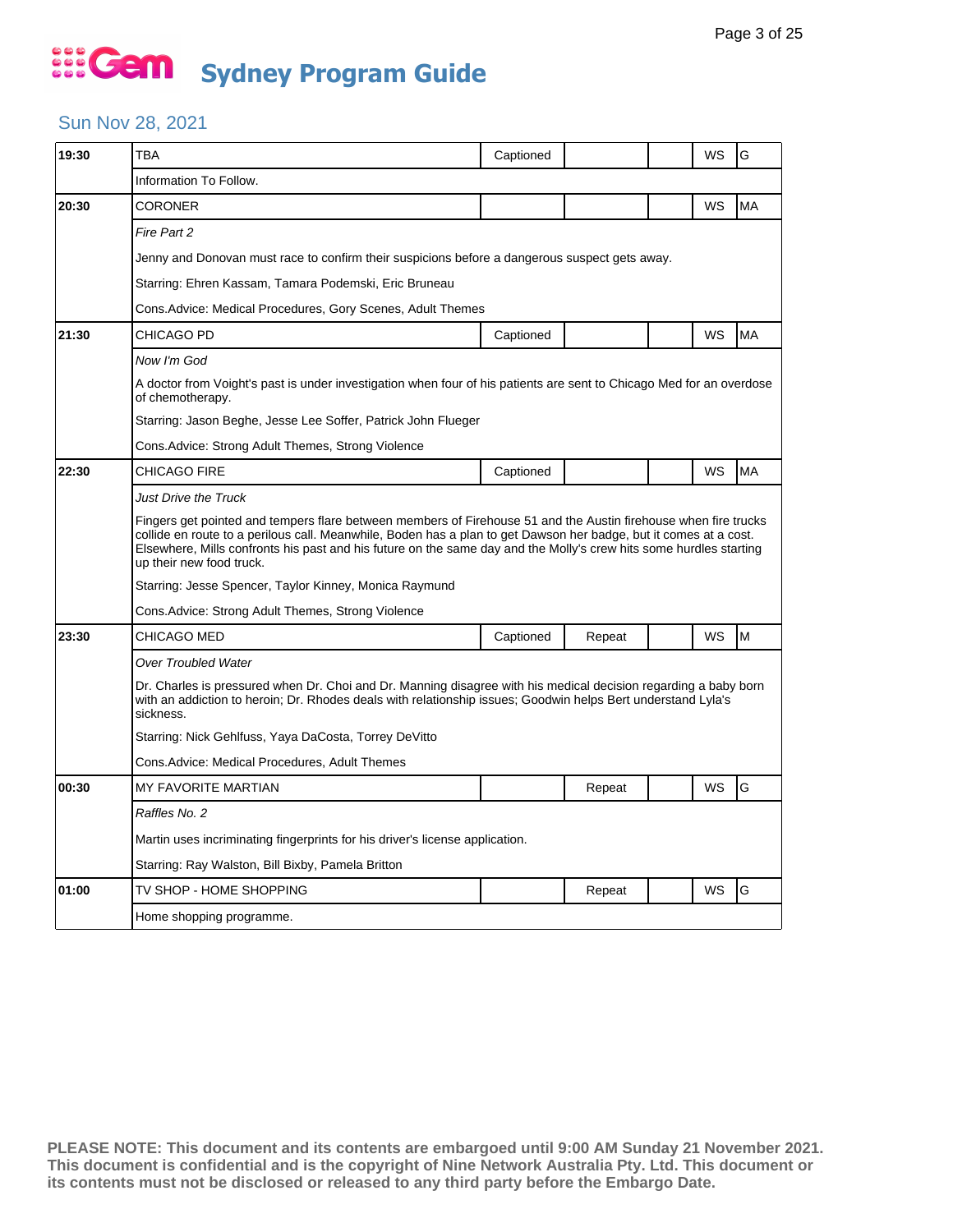#### Sun Nov 28, 2021

| 19:30 | TBA                                                                                                                                                                                                                                                                                                                                                                                    | Captioned |        |  | WS | G         |  |  |  |
|-------|----------------------------------------------------------------------------------------------------------------------------------------------------------------------------------------------------------------------------------------------------------------------------------------------------------------------------------------------------------------------------------------|-----------|--------|--|----|-----------|--|--|--|
|       | Information To Follow.                                                                                                                                                                                                                                                                                                                                                                 |           |        |  |    |           |  |  |  |
| 20:30 | CORONER                                                                                                                                                                                                                                                                                                                                                                                |           |        |  | WS | MA        |  |  |  |
|       | Fire Part 2                                                                                                                                                                                                                                                                                                                                                                            |           |        |  |    |           |  |  |  |
|       | Jenny and Donovan must race to confirm their suspicions before a dangerous suspect gets away.                                                                                                                                                                                                                                                                                          |           |        |  |    |           |  |  |  |
|       | Starring: Ehren Kassam, Tamara Podemski, Eric Bruneau                                                                                                                                                                                                                                                                                                                                  |           |        |  |    |           |  |  |  |
|       | Cons.Advice: Medical Procedures, Gory Scenes, Adult Themes                                                                                                                                                                                                                                                                                                                             |           |        |  |    |           |  |  |  |
| 21:30 | CHICAGO PD                                                                                                                                                                                                                                                                                                                                                                             | Captioned |        |  | WS | <b>MA</b> |  |  |  |
|       | Now I'm God                                                                                                                                                                                                                                                                                                                                                                            |           |        |  |    |           |  |  |  |
|       | A doctor from Voight's past is under investigation when four of his patients are sent to Chicago Med for an overdose<br>of chemotherapy.                                                                                                                                                                                                                                               |           |        |  |    |           |  |  |  |
|       | Starring: Jason Beghe, Jesse Lee Soffer, Patrick John Flueger                                                                                                                                                                                                                                                                                                                          |           |        |  |    |           |  |  |  |
|       | Cons. Advice: Strong Adult Themes, Strong Violence                                                                                                                                                                                                                                                                                                                                     |           |        |  |    |           |  |  |  |
| 22:30 | CHICAGO FIRE                                                                                                                                                                                                                                                                                                                                                                           | Captioned |        |  | WS | <b>MA</b> |  |  |  |
|       | Just Drive the Truck                                                                                                                                                                                                                                                                                                                                                                   |           |        |  |    |           |  |  |  |
|       | Fingers get pointed and tempers flare between members of Firehouse 51 and the Austin firehouse when fire trucks<br>collide en route to a perilous call. Meanwhile, Boden has a plan to get Dawson her badge, but it comes at a cost.<br>Elsewhere, Mills confronts his past and his future on the same day and the Molly's crew hits some hurdles starting<br>up their new food truck. |           |        |  |    |           |  |  |  |
|       | Starring: Jesse Spencer, Taylor Kinney, Monica Raymund                                                                                                                                                                                                                                                                                                                                 |           |        |  |    |           |  |  |  |
|       | Cons. Advice: Strong Adult Themes, Strong Violence                                                                                                                                                                                                                                                                                                                                     |           |        |  |    |           |  |  |  |
| 23:30 | CHICAGO MED                                                                                                                                                                                                                                                                                                                                                                            | Captioned | Repeat |  | WS | M         |  |  |  |
|       | <b>Over Troubled Water</b>                                                                                                                                                                                                                                                                                                                                                             |           |        |  |    |           |  |  |  |
|       | Dr. Charles is pressured when Dr. Choi and Dr. Manning disagree with his medical decision regarding a baby born<br>with an addiction to heroin; Dr. Rhodes deals with relationship issues; Goodwin helps Bert understand Lyla's<br>sickness.                                                                                                                                           |           |        |  |    |           |  |  |  |
|       | Starring: Nick Gehlfuss, Yaya DaCosta, Torrey DeVitto                                                                                                                                                                                                                                                                                                                                  |           |        |  |    |           |  |  |  |
|       | Cons.Advice: Medical Procedures, Adult Themes                                                                                                                                                                                                                                                                                                                                          |           |        |  |    |           |  |  |  |
| 00:30 | <b>MY FAVORITE MARTIAN</b>                                                                                                                                                                                                                                                                                                                                                             |           | Repeat |  | WS | G         |  |  |  |
|       | Raffles No. 2                                                                                                                                                                                                                                                                                                                                                                          |           |        |  |    |           |  |  |  |
|       | Martin uses incriminating fingerprints for his driver's license application.                                                                                                                                                                                                                                                                                                           |           |        |  |    |           |  |  |  |
|       | Starring: Ray Walston, Bill Bixby, Pamela Britton                                                                                                                                                                                                                                                                                                                                      |           |        |  |    |           |  |  |  |
| 01:00 | TV SHOP - HOME SHOPPING                                                                                                                                                                                                                                                                                                                                                                |           | Repeat |  | WS | G         |  |  |  |
|       | Home shopping programme.                                                                                                                                                                                                                                                                                                                                                               |           |        |  |    |           |  |  |  |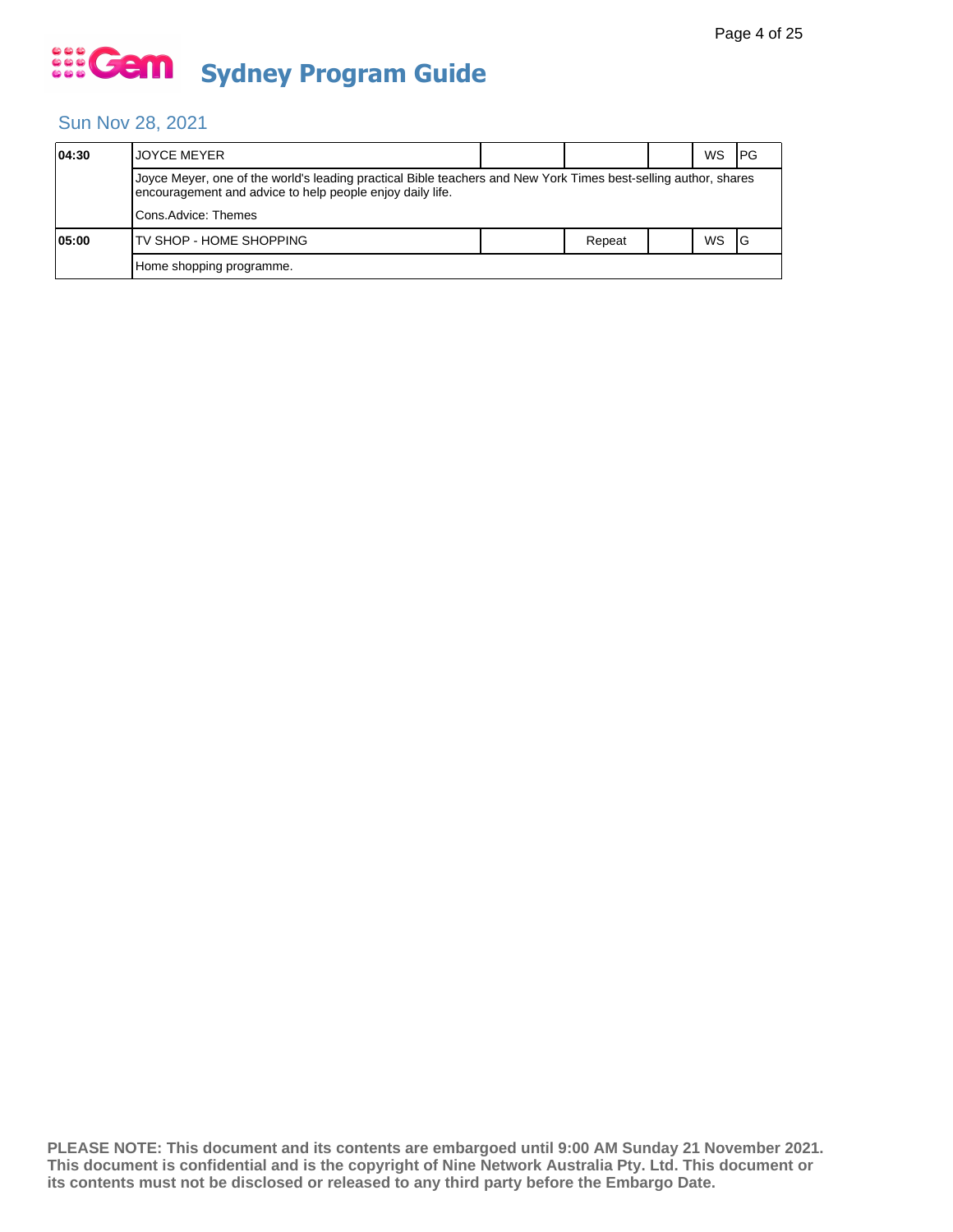#### Sun Nov 28, 2021

| 04:30 | <b>IJOYCE MEYER</b>                                                                                                                                                          |  |        |  | WS | IPG |  |  |
|-------|------------------------------------------------------------------------------------------------------------------------------------------------------------------------------|--|--------|--|----|-----|--|--|
|       | Joyce Meyer, one of the world's leading practical Bible teachers and New York Times best-selling author, shares<br>encouragement and advice to help people enjoy daily life. |  |        |  |    |     |  |  |
|       | Cons.Advice: Themes                                                                                                                                                          |  |        |  |    |     |  |  |
| 05:00 | ITV SHOP - HOME SHOPPING                                                                                                                                                     |  | Repeat |  | WS |     |  |  |
|       | Home shopping programme.                                                                                                                                                     |  |        |  |    |     |  |  |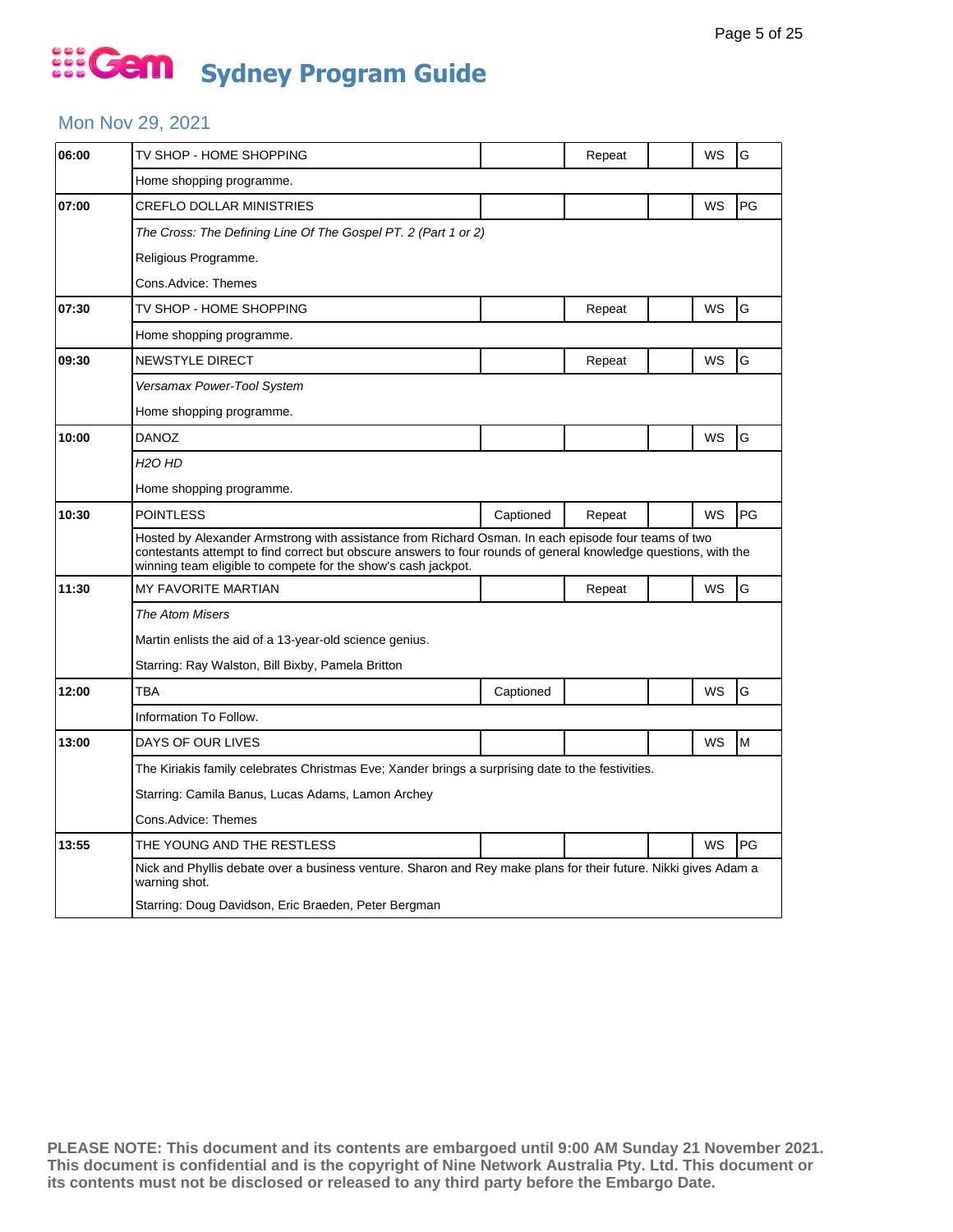#### Mon Nov 29, 2021

| 06:00 | TV SHOP - HOME SHOPPING                                                                                                                                                                                                                                                                 |           | Repeat |  | WS | G  |  |  |  |
|-------|-----------------------------------------------------------------------------------------------------------------------------------------------------------------------------------------------------------------------------------------------------------------------------------------|-----------|--------|--|----|----|--|--|--|
|       | Home shopping programme.                                                                                                                                                                                                                                                                |           |        |  |    |    |  |  |  |
| 07:00 | <b>CREFLO DOLLAR MINISTRIES</b>                                                                                                                                                                                                                                                         |           |        |  | WS | PG |  |  |  |
|       | The Cross: The Defining Line Of The Gospel PT. 2 (Part 1 or 2)                                                                                                                                                                                                                          |           |        |  |    |    |  |  |  |
|       | Religious Programme.                                                                                                                                                                                                                                                                    |           |        |  |    |    |  |  |  |
|       | Cons.Advice: Themes                                                                                                                                                                                                                                                                     |           |        |  |    |    |  |  |  |
| 07:30 | TV SHOP - HOME SHOPPING                                                                                                                                                                                                                                                                 |           | Repeat |  | WS | G  |  |  |  |
|       | Home shopping programme.                                                                                                                                                                                                                                                                |           |        |  |    |    |  |  |  |
| 09:30 | <b>NEWSTYLE DIRECT</b>                                                                                                                                                                                                                                                                  |           | Repeat |  | WS | G  |  |  |  |
|       | Versamax Power-Tool System                                                                                                                                                                                                                                                              |           |        |  |    |    |  |  |  |
|       | Home shopping programme.                                                                                                                                                                                                                                                                |           |        |  |    |    |  |  |  |
| 10:00 | DANOZ                                                                                                                                                                                                                                                                                   |           |        |  | WS | G  |  |  |  |
|       | H <sub>2</sub> O HD                                                                                                                                                                                                                                                                     |           |        |  |    |    |  |  |  |
|       | Home shopping programme.                                                                                                                                                                                                                                                                |           |        |  |    |    |  |  |  |
| 10:30 | <b>POINTLESS</b>                                                                                                                                                                                                                                                                        | Captioned | Repeat |  | WS | PG |  |  |  |
|       | Hosted by Alexander Armstrong with assistance from Richard Osman. In each episode four teams of two<br>contestants attempt to find correct but obscure answers to four rounds of general knowledge questions, with the<br>winning team eligible to compete for the show's cash jackpot. |           |        |  |    |    |  |  |  |
| 11:30 | <b>MY FAVORITE MARTIAN</b>                                                                                                                                                                                                                                                              |           | Repeat |  | WS | G  |  |  |  |
|       | The Atom Misers                                                                                                                                                                                                                                                                         |           |        |  |    |    |  |  |  |
|       | Martin enlists the aid of a 13-year-old science genius.                                                                                                                                                                                                                                 |           |        |  |    |    |  |  |  |
|       | Starring: Ray Walston, Bill Bixby, Pamela Britton                                                                                                                                                                                                                                       |           |        |  |    |    |  |  |  |
| 12:00 | <b>TBA</b>                                                                                                                                                                                                                                                                              | Captioned |        |  | WS | G  |  |  |  |
|       | Information To Follow.                                                                                                                                                                                                                                                                  |           |        |  |    |    |  |  |  |
| 13:00 | DAYS OF OUR LIVES                                                                                                                                                                                                                                                                       |           |        |  | WS | M  |  |  |  |
|       | The Kiriakis family celebrates Christmas Eve; Xander brings a surprising date to the festivities.                                                                                                                                                                                       |           |        |  |    |    |  |  |  |
|       | Starring: Camila Banus, Lucas Adams, Lamon Archey                                                                                                                                                                                                                                       |           |        |  |    |    |  |  |  |
|       | Cons.Advice: Themes                                                                                                                                                                                                                                                                     |           |        |  |    |    |  |  |  |
| 13:55 | THE YOUNG AND THE RESTLESS                                                                                                                                                                                                                                                              |           |        |  | WS | PG |  |  |  |
|       | Nick and Phyllis debate over a business venture. Sharon and Rey make plans for their future. Nikki gives Adam a<br>warning shot.                                                                                                                                                        |           |        |  |    |    |  |  |  |
|       | Starring: Doug Davidson, Eric Braeden, Peter Bergman                                                                                                                                                                                                                                    |           |        |  |    |    |  |  |  |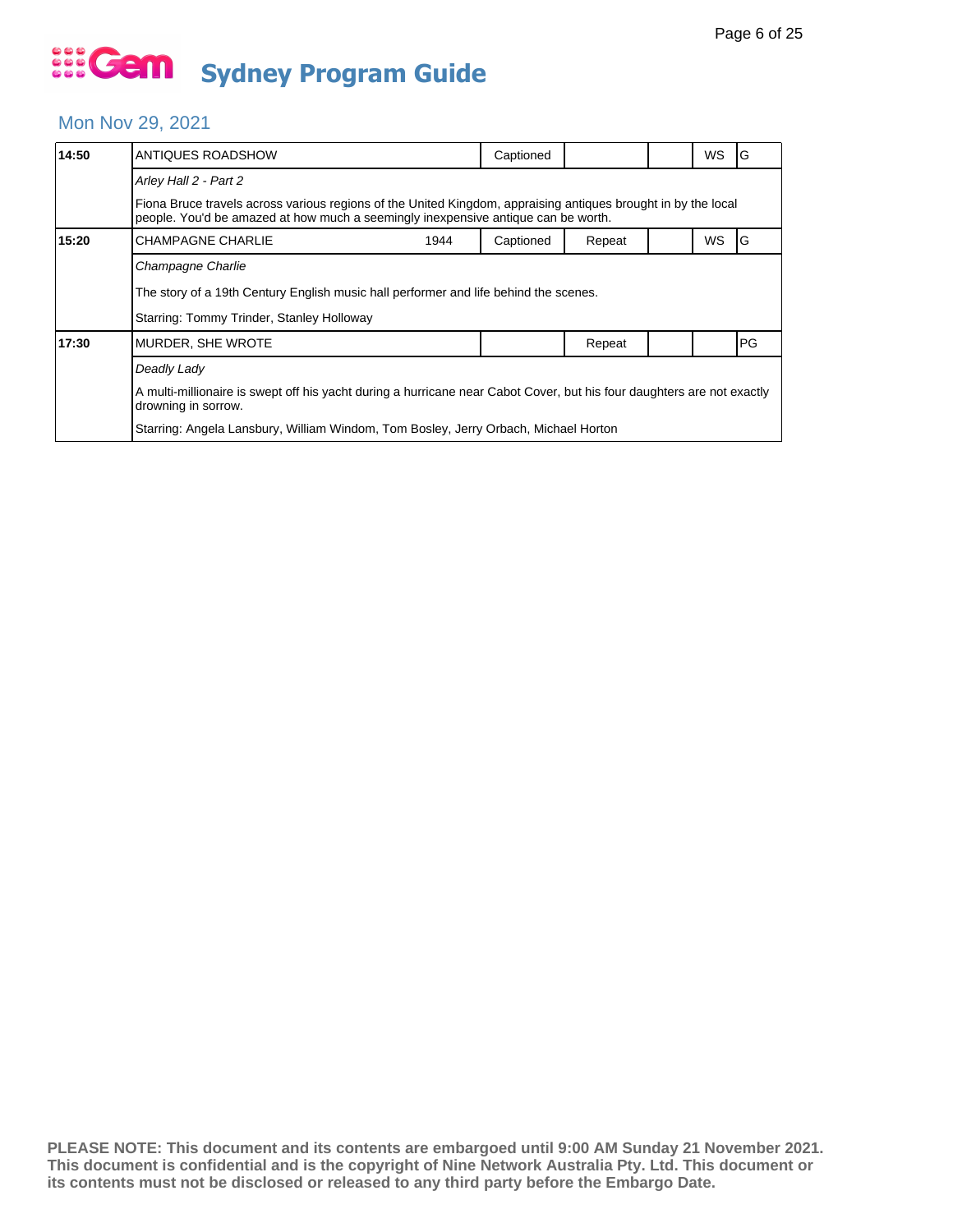#### Mon Nov 29, 2021

| 14:50 | ANTIQUES ROADSHOW                                                                                                                                                                                  |  | Captioned |        |  | WS        | G         |  |  |
|-------|----------------------------------------------------------------------------------------------------------------------------------------------------------------------------------------------------|--|-----------|--------|--|-----------|-----------|--|--|
|       | Arley Hall 2 - Part 2                                                                                                                                                                              |  |           |        |  |           |           |  |  |
|       | Fiona Bruce travels across various regions of the United Kingdom, appraising antiques brought in by the local<br>people. You'd be amazed at how much a seemingly inexpensive antique can be worth. |  |           |        |  |           |           |  |  |
| 15:20 | <b>CHAMPAGNE CHARLIE</b><br>1944                                                                                                                                                                   |  | Captioned | Repeat |  | <b>WS</b> | IG        |  |  |
|       | Champagne Charlie                                                                                                                                                                                  |  |           |        |  |           |           |  |  |
|       | The story of a 19th Century English music hall performer and life behind the scenes.                                                                                                               |  |           |        |  |           |           |  |  |
|       | Starring: Tommy Trinder, Stanley Holloway                                                                                                                                                          |  |           |        |  |           |           |  |  |
| 17:30 | MURDER, SHE WROTE                                                                                                                                                                                  |  |           | Repeat |  |           | <b>PG</b> |  |  |
|       | Deadly Lady                                                                                                                                                                                        |  |           |        |  |           |           |  |  |
|       | A multi-millionaire is swept off his yacht during a hurricane near Cabot Cover, but his four daughters are not exactly<br>drowning in sorrow.                                                      |  |           |        |  |           |           |  |  |
|       | Starring: Angela Lansbury, William Windom, Tom Bosley, Jerry Orbach, Michael Horton                                                                                                                |  |           |        |  |           |           |  |  |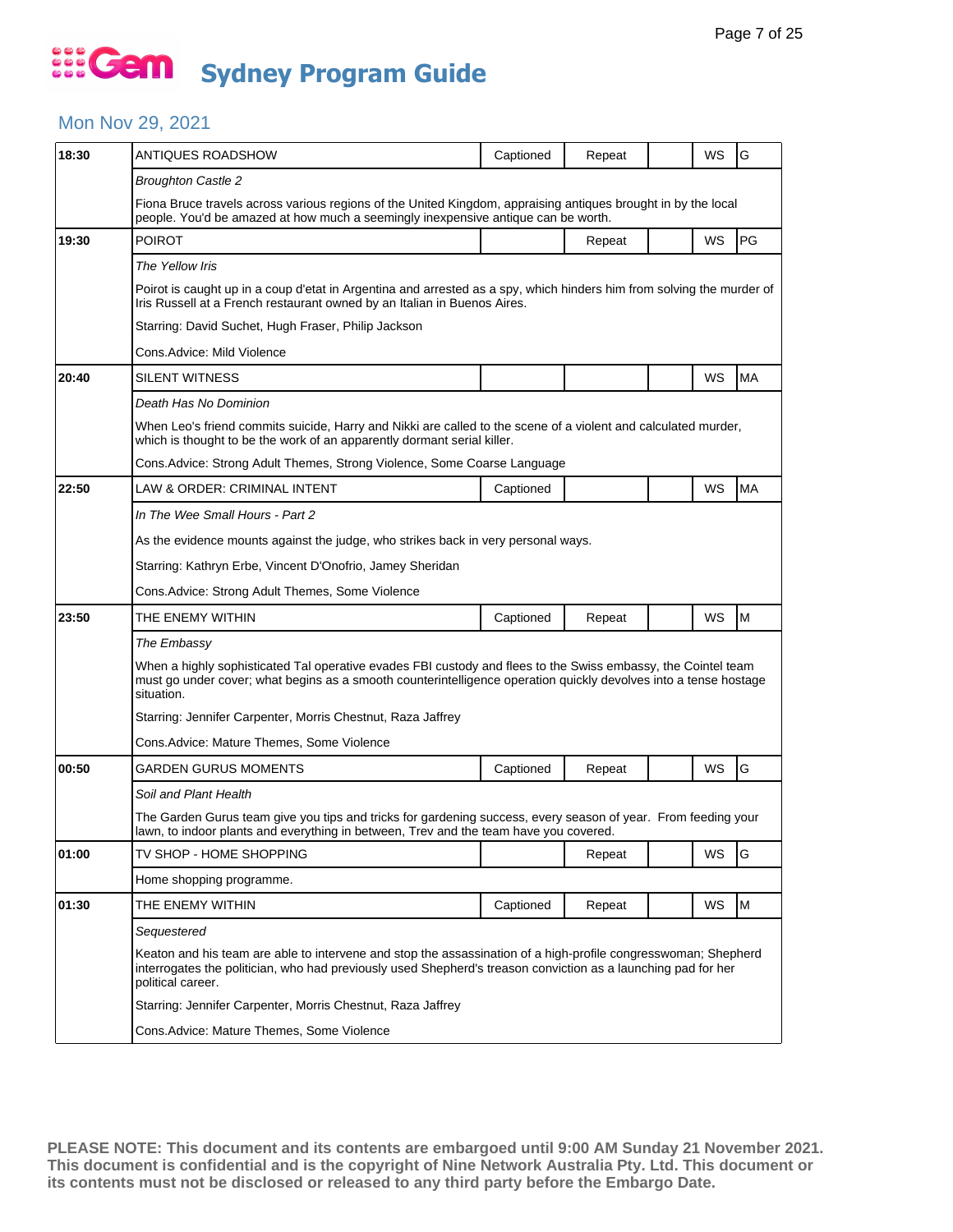## ... Gem **Sydney Program Guide**

### Mon Nov 29, 2021

| 18:30 | ANTIQUES ROADSHOW                                                                                                                                                                                                                               | Captioned                                                                                                                                                                                                                       | Repeat |  | WS        | G         |  |  |  |  |
|-------|-------------------------------------------------------------------------------------------------------------------------------------------------------------------------------------------------------------------------------------------------|---------------------------------------------------------------------------------------------------------------------------------------------------------------------------------------------------------------------------------|--------|--|-----------|-----------|--|--|--|--|
|       | <b>Broughton Castle 2</b>                                                                                                                                                                                                                       |                                                                                                                                                                                                                                 |        |  |           |           |  |  |  |  |
|       | Fiona Bruce travels across various regions of the United Kingdom, appraising antiques brought in by the local<br>people. You'd be amazed at how much a seemingly inexpensive antique can be worth.                                              |                                                                                                                                                                                                                                 |        |  |           |           |  |  |  |  |
| 19:30 | <b>POIROT</b>                                                                                                                                                                                                                                   |                                                                                                                                                                                                                                 | Repeat |  | WS        | <b>PG</b> |  |  |  |  |
|       | The Yellow Iris                                                                                                                                                                                                                                 |                                                                                                                                                                                                                                 |        |  |           |           |  |  |  |  |
|       | Poirot is caught up in a coup d'etat in Argentina and arrested as a spy, which hinders him from solving the murder of<br>Iris Russell at a French restaurant owned by an Italian in Buenos Aires.                                               |                                                                                                                                                                                                                                 |        |  |           |           |  |  |  |  |
|       | Starring: David Suchet, Hugh Fraser, Philip Jackson                                                                                                                                                                                             |                                                                                                                                                                                                                                 |        |  |           |           |  |  |  |  |
|       | Cons.Advice: Mild Violence                                                                                                                                                                                                                      |                                                                                                                                                                                                                                 |        |  |           |           |  |  |  |  |
| 20:40 | SILENT WITNESS                                                                                                                                                                                                                                  |                                                                                                                                                                                                                                 |        |  | WS        | <b>MA</b> |  |  |  |  |
|       | Death Has No Dominion                                                                                                                                                                                                                           |                                                                                                                                                                                                                                 |        |  |           |           |  |  |  |  |
|       | When Leo's friend commits suicide, Harry and Nikki are called to the scene of a violent and calculated murder,<br>which is thought to be the work of an apparently dormant serial killer.                                                       |                                                                                                                                                                                                                                 |        |  |           |           |  |  |  |  |
|       | Cons.Advice: Strong Adult Themes, Strong Violence, Some Coarse Language                                                                                                                                                                         |                                                                                                                                                                                                                                 |        |  |           |           |  |  |  |  |
| 22:50 | LAW & ORDER: CRIMINAL INTENT                                                                                                                                                                                                                    | Captioned                                                                                                                                                                                                                       |        |  | WS        | <b>MA</b> |  |  |  |  |
|       | In The Wee Small Hours - Part 2                                                                                                                                                                                                                 |                                                                                                                                                                                                                                 |        |  |           |           |  |  |  |  |
|       | As the evidence mounts against the judge, who strikes back in very personal ways.                                                                                                                                                               |                                                                                                                                                                                                                                 |        |  |           |           |  |  |  |  |
|       | Starring: Kathryn Erbe, Vincent D'Onofrio, Jamey Sheridan                                                                                                                                                                                       |                                                                                                                                                                                                                                 |        |  |           |           |  |  |  |  |
|       | Cons.Advice: Strong Adult Themes, Some Violence                                                                                                                                                                                                 |                                                                                                                                                                                                                                 |        |  |           |           |  |  |  |  |
| 23:50 | THE ENEMY WITHIN                                                                                                                                                                                                                                | Captioned                                                                                                                                                                                                                       | Repeat |  | WS        | M         |  |  |  |  |
|       | The Embassy                                                                                                                                                                                                                                     |                                                                                                                                                                                                                                 |        |  |           |           |  |  |  |  |
|       | When a highly sophisticated Tal operative evades FBI custody and flees to the Swiss embassy, the Cointel team<br>must go under cover; what begins as a smooth counterintelligence operation quickly devolves into a tense hostage<br>situation. |                                                                                                                                                                                                                                 |        |  |           |           |  |  |  |  |
|       | Starring: Jennifer Carpenter, Morris Chestnut, Raza Jaffrey                                                                                                                                                                                     |                                                                                                                                                                                                                                 |        |  |           |           |  |  |  |  |
|       | Cons.Advice: Mature Themes, Some Violence                                                                                                                                                                                                       |                                                                                                                                                                                                                                 |        |  |           |           |  |  |  |  |
| 00:50 | GARDEN GURUS MOMENTS                                                                                                                                                                                                                            | Captioned                                                                                                                                                                                                                       | Repeat |  | <b>WS</b> | G         |  |  |  |  |
|       | Soil and Plant Health                                                                                                                                                                                                                           |                                                                                                                                                                                                                                 |        |  |           |           |  |  |  |  |
|       | The Garden Gurus team give you tips and tricks for gardening success, every season of year. From feeding your<br>lawn, to indoor plants and everything in between, Trev and the team have you covered.                                          |                                                                                                                                                                                                                                 |        |  |           |           |  |  |  |  |
| 01:00 | TV SHOP - HOME SHOPPING                                                                                                                                                                                                                         |                                                                                                                                                                                                                                 | Repeat |  | WS        | G         |  |  |  |  |
|       | Home shopping programme.                                                                                                                                                                                                                        |                                                                                                                                                                                                                                 |        |  |           |           |  |  |  |  |
| 01:30 | THE ENEMY WITHIN                                                                                                                                                                                                                                | Captioned                                                                                                                                                                                                                       | Repeat |  | WS        | M         |  |  |  |  |
|       | Sequestered                                                                                                                                                                                                                                     |                                                                                                                                                                                                                                 |        |  |           |           |  |  |  |  |
|       | political career.                                                                                                                                                                                                                               | Keaton and his team are able to intervene and stop the assassination of a high-profile congresswoman; Shepherd<br>interrogates the politician, who had previously used Shepherd's treason conviction as a launching pad for her |        |  |           |           |  |  |  |  |
|       | Starring: Jennifer Carpenter, Morris Chestnut, Raza Jaffrey                                                                                                                                                                                     |                                                                                                                                                                                                                                 |        |  |           |           |  |  |  |  |
|       | Cons.Advice: Mature Themes, Some Violence                                                                                                                                                                                                       |                                                                                                                                                                                                                                 |        |  |           |           |  |  |  |  |
|       |                                                                                                                                                                                                                                                 |                                                                                                                                                                                                                                 |        |  |           |           |  |  |  |  |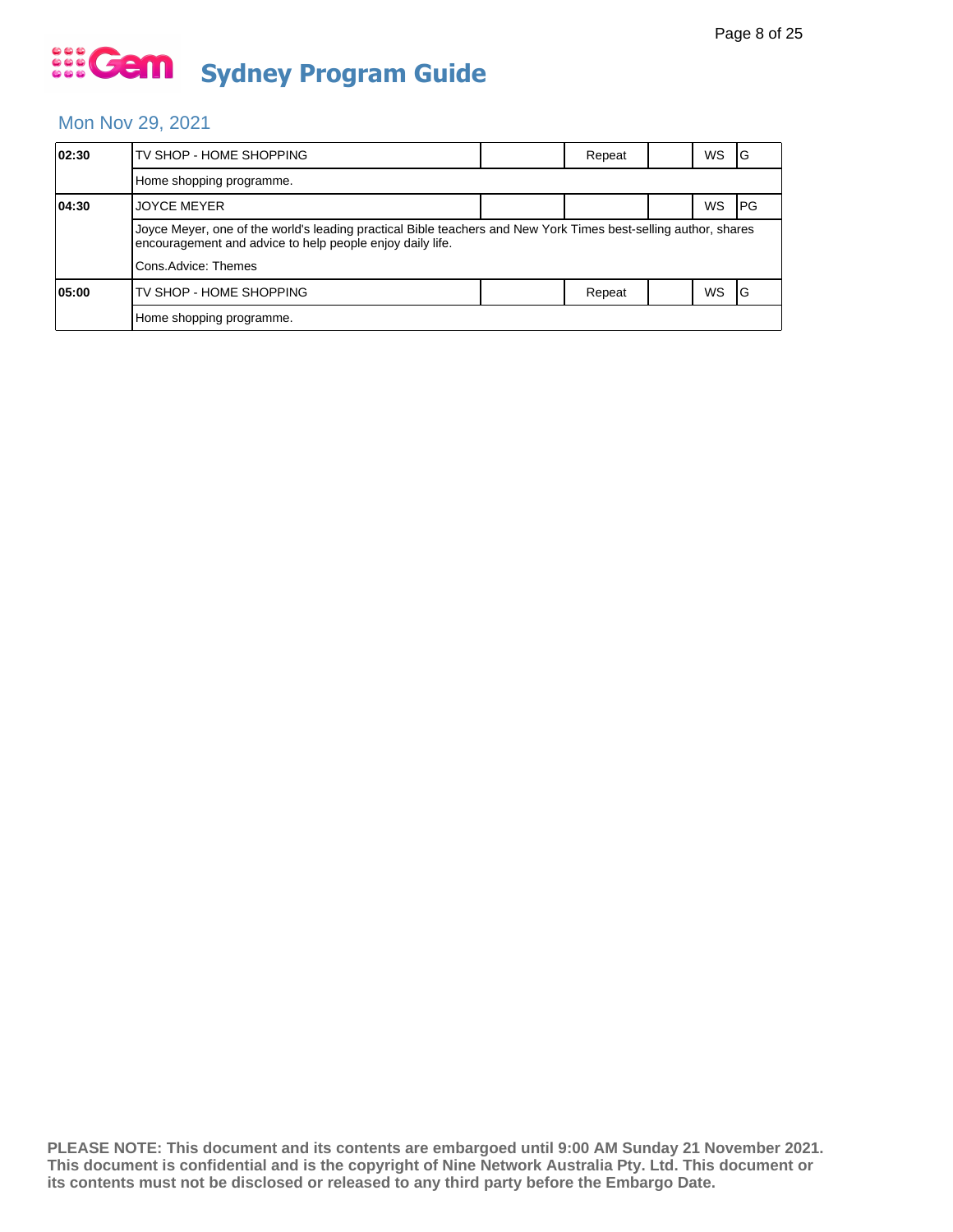#### Mon Nov 29, 2021

| 02:30 | TV SHOP - HOME SHOPPING                                                                                                                                                      |  | Repeat |  | WS.       | IG         |  |  |
|-------|------------------------------------------------------------------------------------------------------------------------------------------------------------------------------|--|--------|--|-----------|------------|--|--|
|       | Home shopping programme.                                                                                                                                                     |  |        |  |           |            |  |  |
| 04:30 | <b>JOYCE MEYER</b>                                                                                                                                                           |  |        |  | WS        | <b>IPG</b> |  |  |
|       | Joyce Meyer, one of the world's leading practical Bible teachers and New York Times best-selling author, shares<br>encouragement and advice to help people enjoy daily life. |  |        |  |           |            |  |  |
|       | Cons.Advice: Themes                                                                                                                                                          |  |        |  |           |            |  |  |
| 05:00 | TV SHOP - HOME SHOPPING                                                                                                                                                      |  | Repeat |  | <b>WS</b> | IG         |  |  |
|       | Home shopping programme.                                                                                                                                                     |  |        |  |           |            |  |  |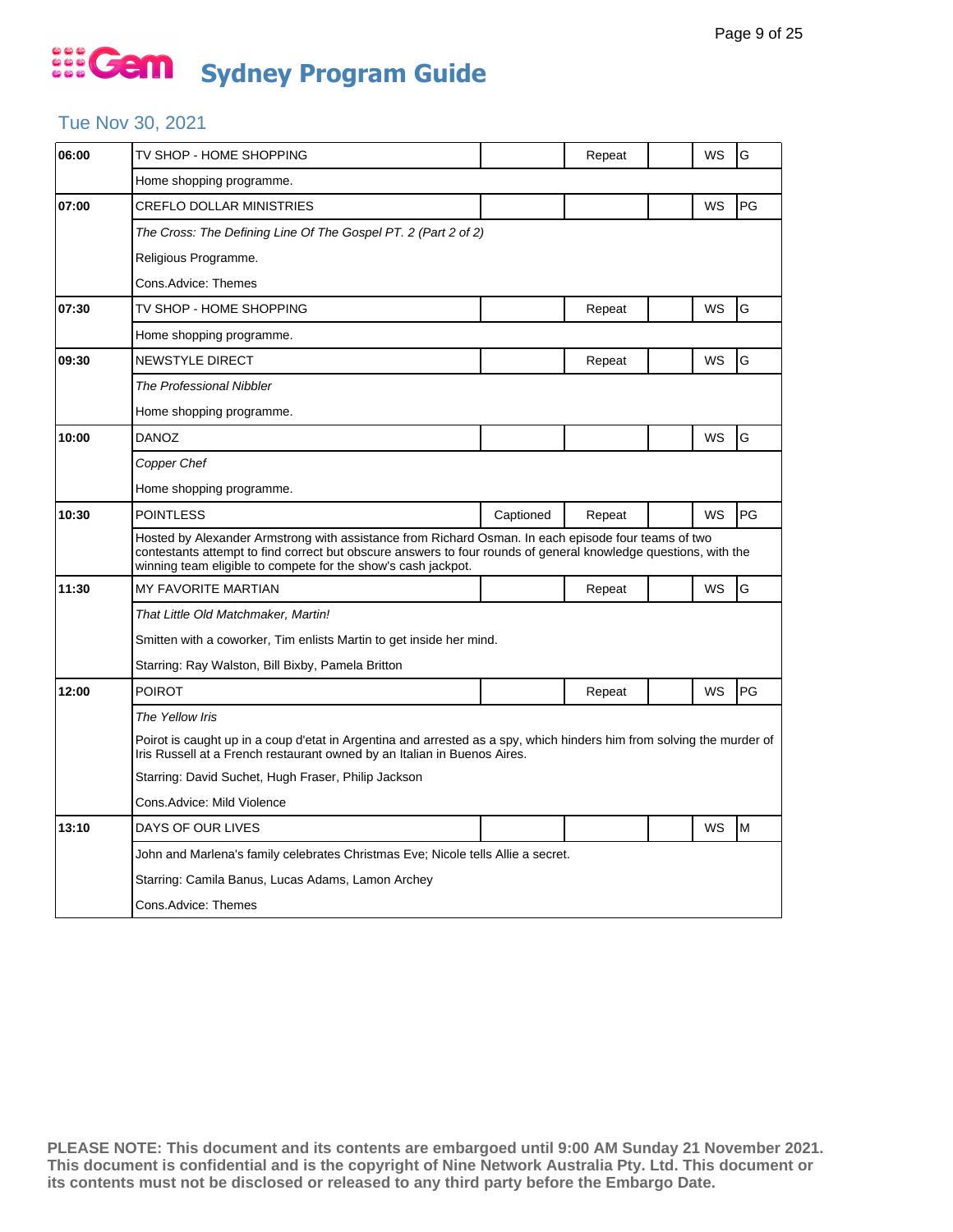#### Tue Nov 30, 2021

| 06:00 | TV SHOP - HOME SHOPPING                                                                                                                                                                                                                                                                 |                                                                                                                                                                                                   | Repeat | WS | G  |  |  |  |  |
|-------|-----------------------------------------------------------------------------------------------------------------------------------------------------------------------------------------------------------------------------------------------------------------------------------------|---------------------------------------------------------------------------------------------------------------------------------------------------------------------------------------------------|--------|----|----|--|--|--|--|
|       | Home shopping programme.                                                                                                                                                                                                                                                                |                                                                                                                                                                                                   |        |    |    |  |  |  |  |
| 07:00 | <b>CREFLO DOLLAR MINISTRIES</b>                                                                                                                                                                                                                                                         |                                                                                                                                                                                                   |        | WS | PG |  |  |  |  |
|       | The Cross: The Defining Line Of The Gospel PT. 2 (Part 2 of 2)                                                                                                                                                                                                                          |                                                                                                                                                                                                   |        |    |    |  |  |  |  |
|       | Religious Programme.                                                                                                                                                                                                                                                                    |                                                                                                                                                                                                   |        |    |    |  |  |  |  |
|       | Cons.Advice: Themes                                                                                                                                                                                                                                                                     |                                                                                                                                                                                                   |        |    |    |  |  |  |  |
| 07:30 | TV SHOP - HOME SHOPPING                                                                                                                                                                                                                                                                 |                                                                                                                                                                                                   | Repeat | WS | G  |  |  |  |  |
|       | Home shopping programme.                                                                                                                                                                                                                                                                |                                                                                                                                                                                                   |        |    |    |  |  |  |  |
| 09:30 | NEWSTYLE DIRECT                                                                                                                                                                                                                                                                         |                                                                                                                                                                                                   | Repeat | WS | G  |  |  |  |  |
|       | The Professional Nibbler                                                                                                                                                                                                                                                                |                                                                                                                                                                                                   |        |    |    |  |  |  |  |
|       | Home shopping programme.                                                                                                                                                                                                                                                                |                                                                                                                                                                                                   |        |    |    |  |  |  |  |
| 10:00 | DANOZ                                                                                                                                                                                                                                                                                   |                                                                                                                                                                                                   |        | WS | G  |  |  |  |  |
|       | Copper Chef                                                                                                                                                                                                                                                                             |                                                                                                                                                                                                   |        |    |    |  |  |  |  |
|       | Home shopping programme.                                                                                                                                                                                                                                                                |                                                                                                                                                                                                   |        |    |    |  |  |  |  |
| 10:30 | <b>POINTLESS</b>                                                                                                                                                                                                                                                                        | Captioned                                                                                                                                                                                         | Repeat | WS | PG |  |  |  |  |
|       | Hosted by Alexander Armstrong with assistance from Richard Osman. In each episode four teams of two<br>contestants attempt to find correct but obscure answers to four rounds of general knowledge questions, with the<br>winning team eligible to compete for the show's cash jackpot. |                                                                                                                                                                                                   |        |    |    |  |  |  |  |
| 11:30 | <b>MY FAVORITE MARTIAN</b>                                                                                                                                                                                                                                                              |                                                                                                                                                                                                   | Repeat | WS | G  |  |  |  |  |
|       | That Little Old Matchmaker, Martin!                                                                                                                                                                                                                                                     |                                                                                                                                                                                                   |        |    |    |  |  |  |  |
|       | Smitten with a coworker, Tim enlists Martin to get inside her mind.                                                                                                                                                                                                                     |                                                                                                                                                                                                   |        |    |    |  |  |  |  |
|       | Starring: Ray Walston, Bill Bixby, Pamela Britton                                                                                                                                                                                                                                       |                                                                                                                                                                                                   |        |    |    |  |  |  |  |
| 12:00 | <b>POIROT</b>                                                                                                                                                                                                                                                                           |                                                                                                                                                                                                   | Repeat | WS | PG |  |  |  |  |
|       | The Yellow Iris                                                                                                                                                                                                                                                                         |                                                                                                                                                                                                   |        |    |    |  |  |  |  |
|       |                                                                                                                                                                                                                                                                                         | Poirot is caught up in a coup d'etat in Argentina and arrested as a spy, which hinders him from solving the murder of<br>Iris Russell at a French restaurant owned by an Italian in Buenos Aires. |        |    |    |  |  |  |  |
|       | Starring: David Suchet, Hugh Fraser, Philip Jackson                                                                                                                                                                                                                                     |                                                                                                                                                                                                   |        |    |    |  |  |  |  |
|       | Cons.Advice: Mild Violence                                                                                                                                                                                                                                                              |                                                                                                                                                                                                   |        |    |    |  |  |  |  |
| 13:10 | DAYS OF OUR LIVES                                                                                                                                                                                                                                                                       |                                                                                                                                                                                                   |        | WS | M  |  |  |  |  |
|       | John and Marlena's family celebrates Christmas Eve; Nicole tells Allie a secret.                                                                                                                                                                                                        |                                                                                                                                                                                                   |        |    |    |  |  |  |  |
|       | Starring: Camila Banus, Lucas Adams, Lamon Archey                                                                                                                                                                                                                                       |                                                                                                                                                                                                   |        |    |    |  |  |  |  |
|       | Cons.Advice: Themes                                                                                                                                                                                                                                                                     |                                                                                                                                                                                                   |        |    |    |  |  |  |  |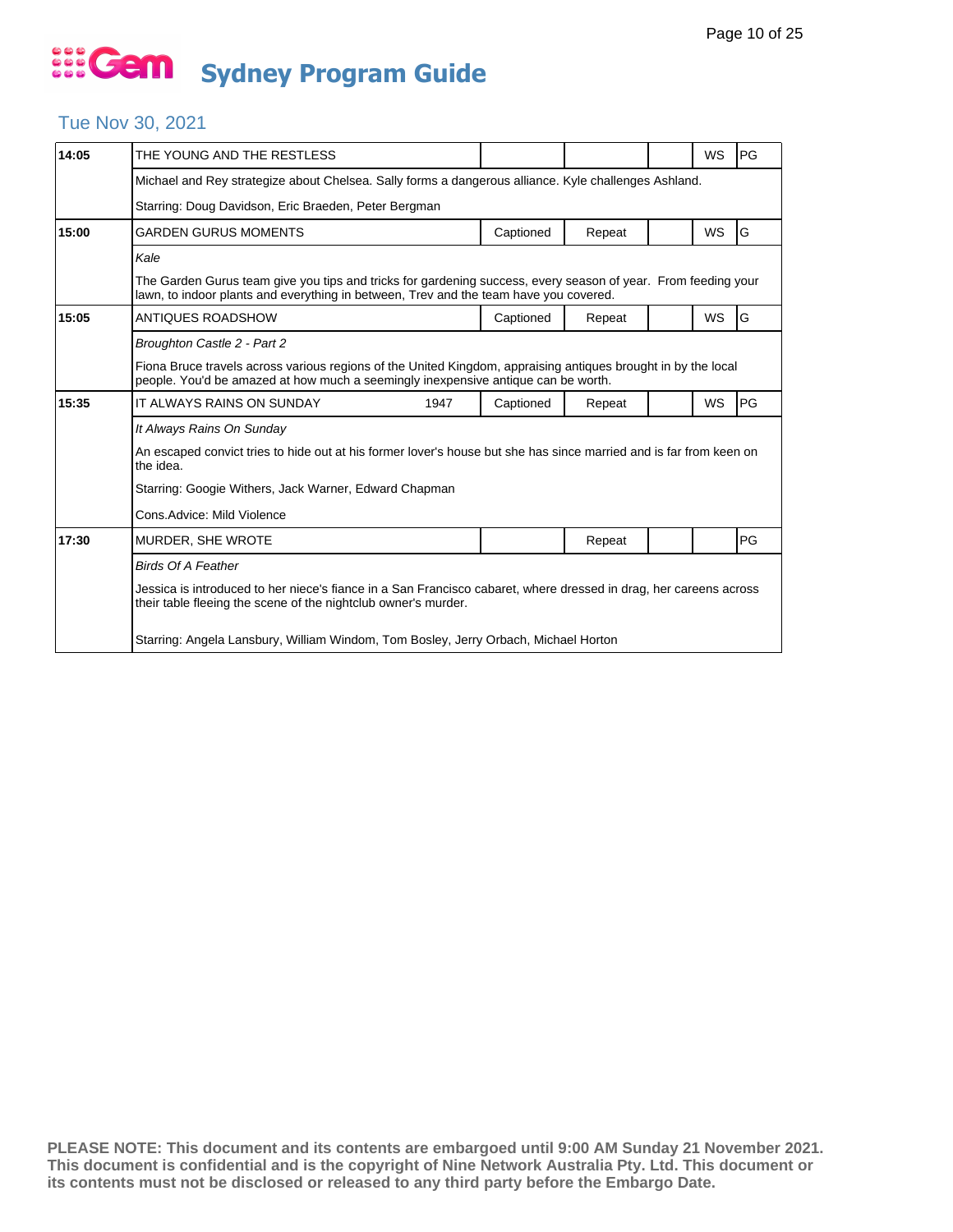### Tue Nov 30, 2021

| 14:05 | THE YOUNG AND THE RESTLESS                                                                                                                                                                             |           |        |  | <b>WS</b> | PG |  |  |
|-------|--------------------------------------------------------------------------------------------------------------------------------------------------------------------------------------------------------|-----------|--------|--|-----------|----|--|--|
|       | Michael and Rey strategize about Chelsea. Sally forms a dangerous alliance. Kyle challenges Ashland.                                                                                                   |           |        |  |           |    |  |  |
|       | Starring: Doug Davidson, Eric Braeden, Peter Bergman                                                                                                                                                   |           |        |  |           |    |  |  |
| 15:00 | GARDEN GURUS MOMENTS                                                                                                                                                                                   | Captioned | Repeat |  | <b>WS</b> | G  |  |  |
|       | Kale                                                                                                                                                                                                   |           |        |  |           |    |  |  |
|       | The Garden Gurus team give you tips and tricks for gardening success, every season of year. From feeding your<br>lawn, to indoor plants and everything in between, Trev and the team have you covered. |           |        |  |           |    |  |  |
| 15:05 | ANTIQUES ROADSHOW                                                                                                                                                                                      | Captioned | Repeat |  | <b>WS</b> | G  |  |  |
|       | Broughton Castle 2 - Part 2                                                                                                                                                                            |           |        |  |           |    |  |  |
|       | Fiona Bruce travels across various regions of the United Kingdom, appraising antiques brought in by the local<br>people. You'd be amazed at how much a seemingly inexpensive antique can be worth.     |           |        |  |           |    |  |  |
| 15:35 | IT ALWAYS RAINS ON SUNDAY<br>1947                                                                                                                                                                      | Captioned | Repeat |  | <b>WS</b> | PG |  |  |
|       | It Always Rains On Sunday                                                                                                                                                                              |           |        |  |           |    |  |  |
|       | An escaped convict tries to hide out at his former lover's house but she has since married and is far from keen on<br>the idea.                                                                        |           |        |  |           |    |  |  |
|       | Starring: Googie Withers, Jack Warner, Edward Chapman                                                                                                                                                  |           |        |  |           |    |  |  |
|       | Cons.Advice: Mild Violence                                                                                                                                                                             |           |        |  |           |    |  |  |
| 17:30 | MURDER, SHE WROTE                                                                                                                                                                                      |           | Repeat |  |           | PG |  |  |
|       | <b>Birds Of A Feather</b>                                                                                                                                                                              |           |        |  |           |    |  |  |
|       | Jessica is introduced to her niece's fiance in a San Francisco cabaret, where dressed in drag, her careens across<br>their table fleeing the scene of the nightclub owner's murder.                    |           |        |  |           |    |  |  |
|       | Starring: Angela Lansbury, William Windom, Tom Bosley, Jerry Orbach, Michael Horton                                                                                                                    |           |        |  |           |    |  |  |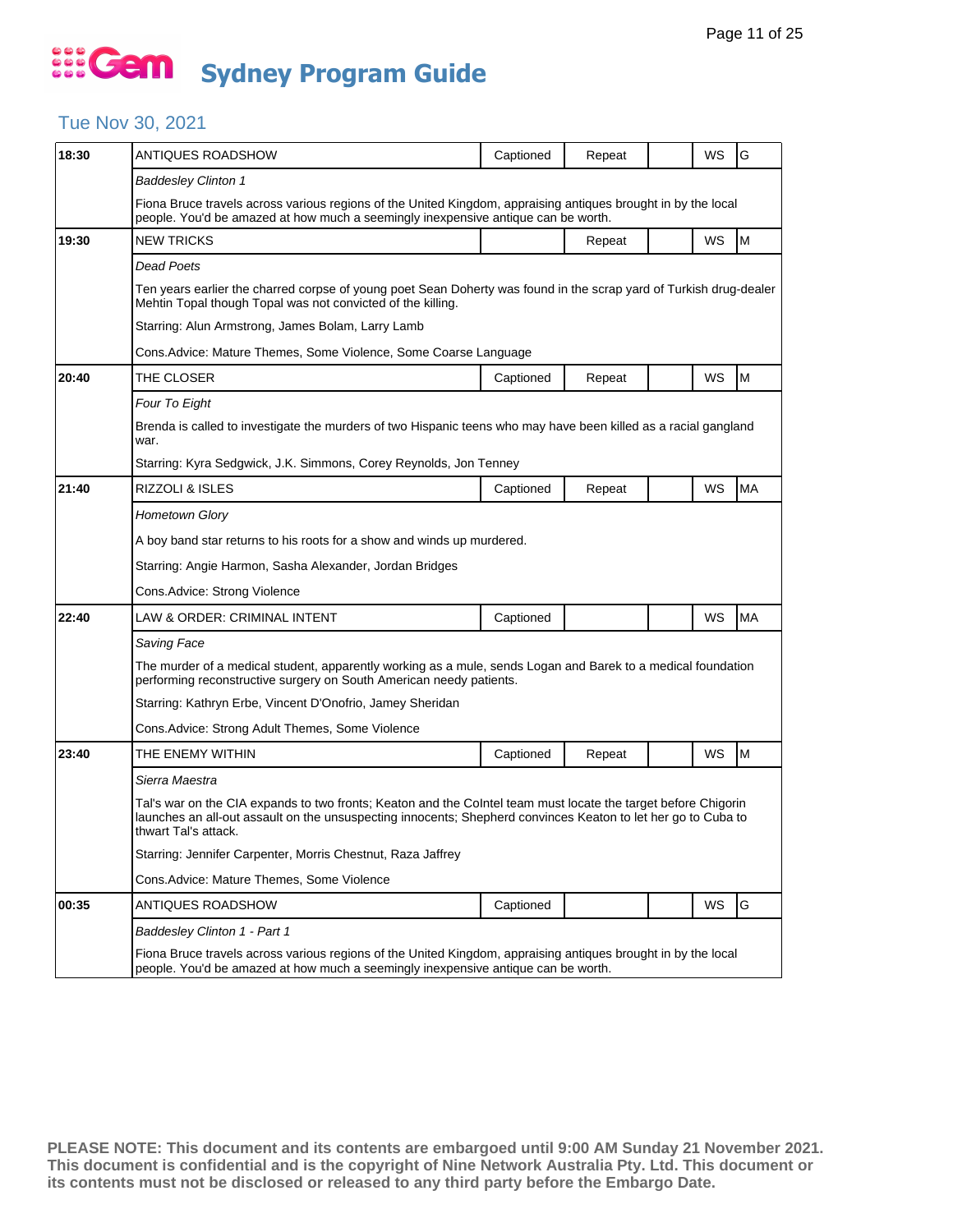#### Tue Nov 30, 2021

| 18:30 | ANTIQUES ROADSHOW                                                                                                                                                                                                                                       | Captioned | Repeat |  | WS | G         |  |  |  |
|-------|---------------------------------------------------------------------------------------------------------------------------------------------------------------------------------------------------------------------------------------------------------|-----------|--------|--|----|-----------|--|--|--|
|       | <b>Baddesley Clinton 1</b>                                                                                                                                                                                                                              |           |        |  |    |           |  |  |  |
|       | Fiona Bruce travels across various regions of the United Kingdom, appraising antiques brought in by the local<br>people. You'd be amazed at how much a seemingly inexpensive antique can be worth.                                                      |           |        |  |    |           |  |  |  |
| 19:30 | <b>NEW TRICKS</b>                                                                                                                                                                                                                                       |           | Repeat |  | WS | M         |  |  |  |
|       | Dead Poets                                                                                                                                                                                                                                              |           |        |  |    |           |  |  |  |
|       | Ten years earlier the charred corpse of young poet Sean Doherty was found in the scrap yard of Turkish drug-dealer<br>Mehtin Topal though Topal was not convicted of the killing.                                                                       |           |        |  |    |           |  |  |  |
|       | Starring: Alun Armstrong, James Bolam, Larry Lamb                                                                                                                                                                                                       |           |        |  |    |           |  |  |  |
|       | Cons.Advice: Mature Themes, Some Violence, Some Coarse Language                                                                                                                                                                                         |           |        |  |    |           |  |  |  |
| 20:40 | THE CLOSER                                                                                                                                                                                                                                              | Captioned | Repeat |  | WS | M         |  |  |  |
|       | Four To Eight                                                                                                                                                                                                                                           |           |        |  |    |           |  |  |  |
|       | Brenda is called to investigate the murders of two Hispanic teens who may have been killed as a racial gangland<br>war.                                                                                                                                 |           |        |  |    |           |  |  |  |
|       | Starring: Kyra Sedgwick, J.K. Simmons, Corey Reynolds, Jon Tenney                                                                                                                                                                                       |           |        |  |    |           |  |  |  |
| 21:40 | RIZZOLI & ISLES                                                                                                                                                                                                                                         | Captioned | Repeat |  | WS | <b>MA</b> |  |  |  |
|       | Hometown Glory                                                                                                                                                                                                                                          |           |        |  |    |           |  |  |  |
|       | A boy band star returns to his roots for a show and winds up murdered.                                                                                                                                                                                  |           |        |  |    |           |  |  |  |
|       | Starring: Angie Harmon, Sasha Alexander, Jordan Bridges                                                                                                                                                                                                 |           |        |  |    |           |  |  |  |
|       | Cons.Advice: Strong Violence                                                                                                                                                                                                                            |           |        |  |    |           |  |  |  |
| 22:40 | LAW & ORDER: CRIMINAL INTENT                                                                                                                                                                                                                            | Captioned |        |  | WS | <b>MA</b> |  |  |  |
|       | Saving Face                                                                                                                                                                                                                                             |           |        |  |    |           |  |  |  |
|       | The murder of a medical student, apparently working as a mule, sends Logan and Barek to a medical foundation<br>performing reconstructive surgery on South American needy patients.                                                                     |           |        |  |    |           |  |  |  |
|       | Starring: Kathryn Erbe, Vincent D'Onofrio, Jamey Sheridan                                                                                                                                                                                               |           |        |  |    |           |  |  |  |
|       | Cons. Advice: Strong Adult Themes, Some Violence                                                                                                                                                                                                        |           |        |  |    |           |  |  |  |
| 23:40 | THE ENEMY WITHIN                                                                                                                                                                                                                                        | Captioned | Repeat |  | WS | M         |  |  |  |
|       | Sierra Maestra                                                                                                                                                                                                                                          |           |        |  |    |           |  |  |  |
|       | Tal's war on the CIA expands to two fronts; Keaton and the CoIntel team must locate the target before Chigorin<br>launches an all-out assault on the unsuspecting innocents; Shepherd convinces Keaton to let her go to Cuba to<br>thwart Tal's attack. |           |        |  |    |           |  |  |  |
|       | Starring: Jennifer Carpenter, Morris Chestnut, Raza Jaffrey                                                                                                                                                                                             |           |        |  |    |           |  |  |  |
|       | Cons.Advice: Mature Themes, Some Violence                                                                                                                                                                                                               |           |        |  |    |           |  |  |  |
| 00:35 | ANTIQUES ROADSHOW                                                                                                                                                                                                                                       | Captioned |        |  | WS | G         |  |  |  |
|       | Baddesley Clinton 1 - Part 1                                                                                                                                                                                                                            |           |        |  |    |           |  |  |  |
|       | Fiona Bruce travels across various regions of the United Kingdom, appraising antiques brought in by the local<br>people. You'd be amazed at how much a seemingly inexpensive antique can be worth.                                                      |           |        |  |    |           |  |  |  |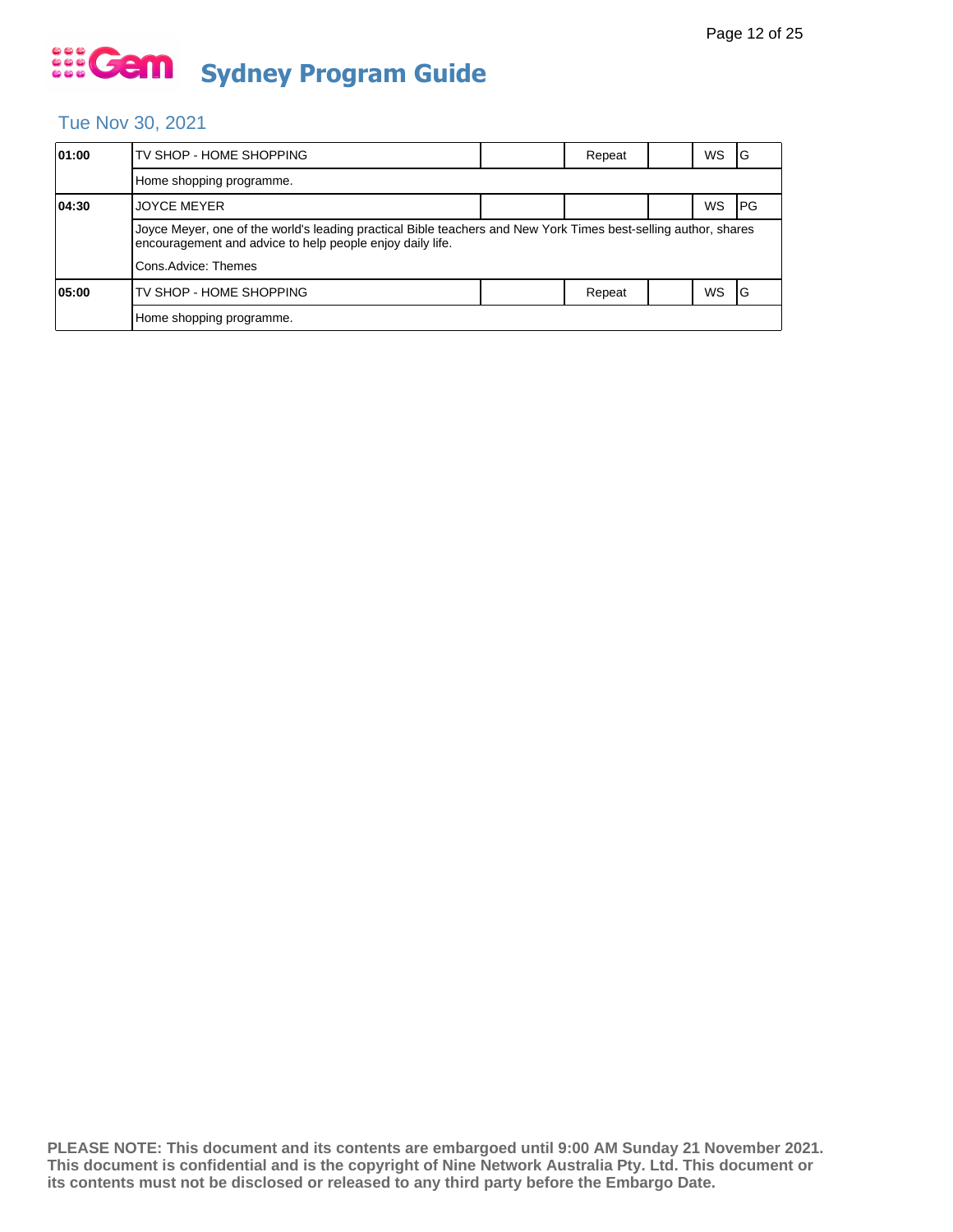### Tue Nov 30, 2021

| 01:00 | TV SHOP - HOME SHOPPING                                                                                                                                                      |  | Repeat |  | WS | IG         |  |  |
|-------|------------------------------------------------------------------------------------------------------------------------------------------------------------------------------|--|--------|--|----|------------|--|--|
|       | Home shopping programme.                                                                                                                                                     |  |        |  |    |            |  |  |
| 04:30 | <b>JOYCE MEYER</b>                                                                                                                                                           |  |        |  | WS | <b>IPG</b> |  |  |
|       | Joyce Meyer, one of the world's leading practical Bible teachers and New York Times best-selling author, shares<br>encouragement and advice to help people enjoy daily life. |  |        |  |    |            |  |  |
|       | Cons.Advice: Themes                                                                                                                                                          |  |        |  |    |            |  |  |
| 05:00 | TV SHOP - HOME SHOPPING                                                                                                                                                      |  | Repeat |  | WS | IG         |  |  |
|       | Home shopping programme.                                                                                                                                                     |  |        |  |    |            |  |  |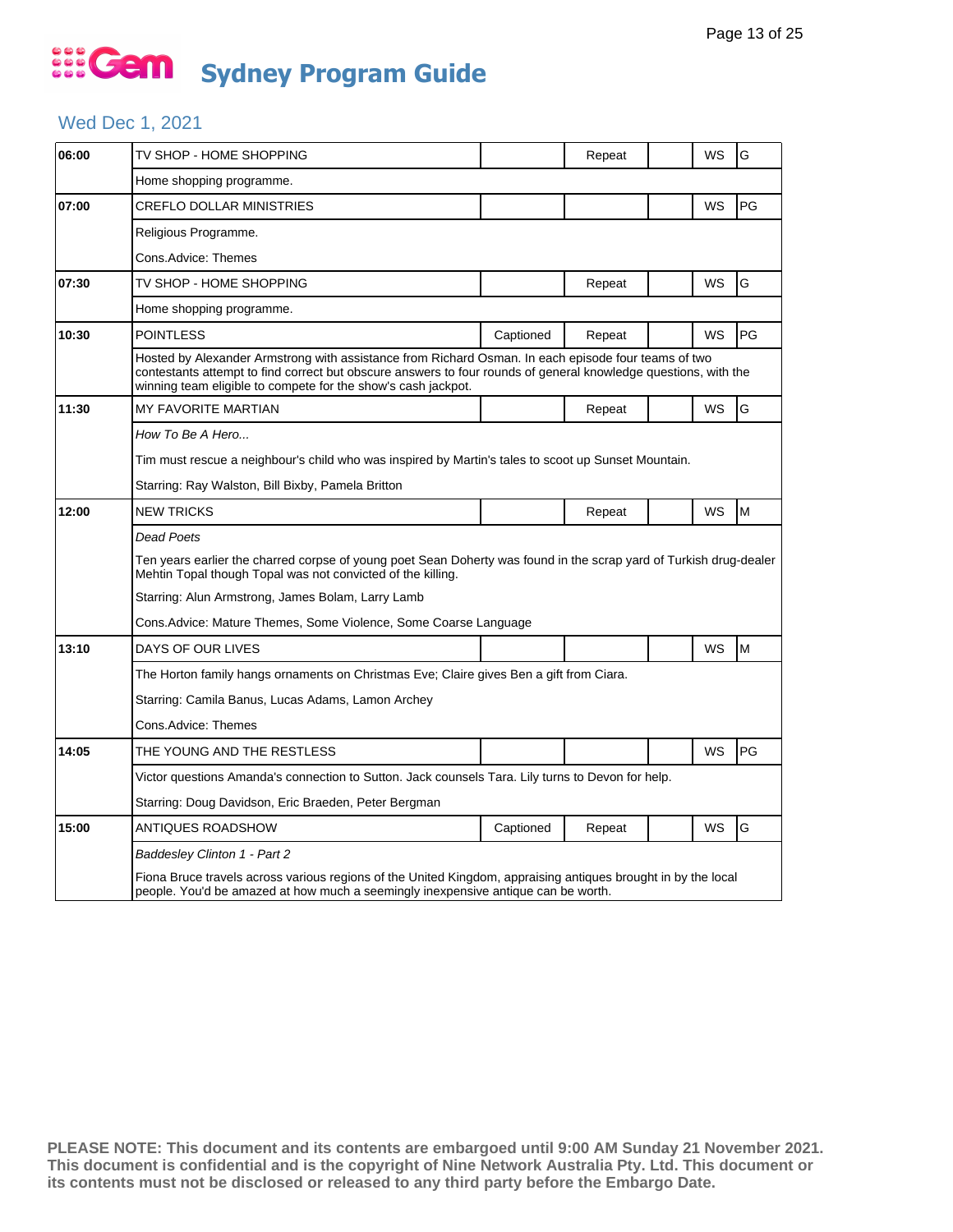### Wed Dec 1, 2021

| 06:00 | TV SHOP - HOME SHOPPING                                                                                                                                                                                                                                                                 |           | Repeat |  | WS        | G  |  |  |
|-------|-----------------------------------------------------------------------------------------------------------------------------------------------------------------------------------------------------------------------------------------------------------------------------------------|-----------|--------|--|-----------|----|--|--|
|       | Home shopping programme.                                                                                                                                                                                                                                                                |           |        |  |           |    |  |  |
| 07:00 | CREFLO DOLLAR MINISTRIES                                                                                                                                                                                                                                                                |           |        |  | WS        | PG |  |  |
|       | Religious Programme.                                                                                                                                                                                                                                                                    |           |        |  |           |    |  |  |
|       | Cons.Advice: Themes                                                                                                                                                                                                                                                                     |           |        |  |           |    |  |  |
| 07:30 | TV SHOP - HOME SHOPPING                                                                                                                                                                                                                                                                 |           | Repeat |  | WS        | G  |  |  |
|       | Home shopping programme.                                                                                                                                                                                                                                                                |           |        |  |           |    |  |  |
| 10:30 | <b>POINTLESS</b>                                                                                                                                                                                                                                                                        | Captioned | Repeat |  | WS        | PG |  |  |
|       | Hosted by Alexander Armstrong with assistance from Richard Osman. In each episode four teams of two<br>contestants attempt to find correct but obscure answers to four rounds of general knowledge questions, with the<br>winning team eligible to compete for the show's cash jackpot. |           |        |  |           |    |  |  |
| 11:30 | <b>MY FAVORITE MARTIAN</b>                                                                                                                                                                                                                                                              |           | Repeat |  | WS        | G  |  |  |
|       | How To Be A Hero                                                                                                                                                                                                                                                                        |           |        |  |           |    |  |  |
|       | Tim must rescue a neighbour's child who was inspired by Martin's tales to scoot up Sunset Mountain.                                                                                                                                                                                     |           |        |  |           |    |  |  |
|       | Starring: Ray Walston, Bill Bixby, Pamela Britton                                                                                                                                                                                                                                       |           |        |  |           |    |  |  |
| 12:00 | <b>NEW TRICKS</b>                                                                                                                                                                                                                                                                       |           | Repeat |  | <b>WS</b> | M  |  |  |
|       | Dead Poets                                                                                                                                                                                                                                                                              |           |        |  |           |    |  |  |
|       | Ten years earlier the charred corpse of young poet Sean Doherty was found in the scrap yard of Turkish drug-dealer<br>Mehtin Topal though Topal was not convicted of the killing.                                                                                                       |           |        |  |           |    |  |  |
|       | Starring: Alun Armstrong, James Bolam, Larry Lamb                                                                                                                                                                                                                                       |           |        |  |           |    |  |  |
|       | Cons. Advice: Mature Themes, Some Violence, Some Coarse Language                                                                                                                                                                                                                        |           |        |  |           |    |  |  |
| 13:10 | DAYS OF OUR LIVES                                                                                                                                                                                                                                                                       |           |        |  | WS        | M  |  |  |
|       | The Horton family hangs ornaments on Christmas Eve; Claire gives Ben a gift from Ciara.                                                                                                                                                                                                 |           |        |  |           |    |  |  |
|       | Starring: Camila Banus, Lucas Adams, Lamon Archey                                                                                                                                                                                                                                       |           |        |  |           |    |  |  |
|       | Cons.Advice: Themes                                                                                                                                                                                                                                                                     |           |        |  |           |    |  |  |
| 14:05 | THE YOUNG AND THE RESTLESS                                                                                                                                                                                                                                                              |           |        |  | WS        | PG |  |  |
|       | Victor questions Amanda's connection to Sutton. Jack counsels Tara. Lily turns to Devon for help.                                                                                                                                                                                       |           |        |  |           |    |  |  |
|       | Starring: Doug Davidson, Eric Braeden, Peter Bergman                                                                                                                                                                                                                                    |           |        |  |           |    |  |  |
| 15:00 | ANTIQUES ROADSHOW                                                                                                                                                                                                                                                                       | Captioned | Repeat |  | WS        | G  |  |  |
|       | Baddesley Clinton 1 - Part 2                                                                                                                                                                                                                                                            |           |        |  |           |    |  |  |
|       | Fiona Bruce travels across various regions of the United Kingdom, appraising antiques brought in by the local<br>people. You'd be amazed at how much a seemingly inexpensive antique can be worth.                                                                                      |           |        |  |           |    |  |  |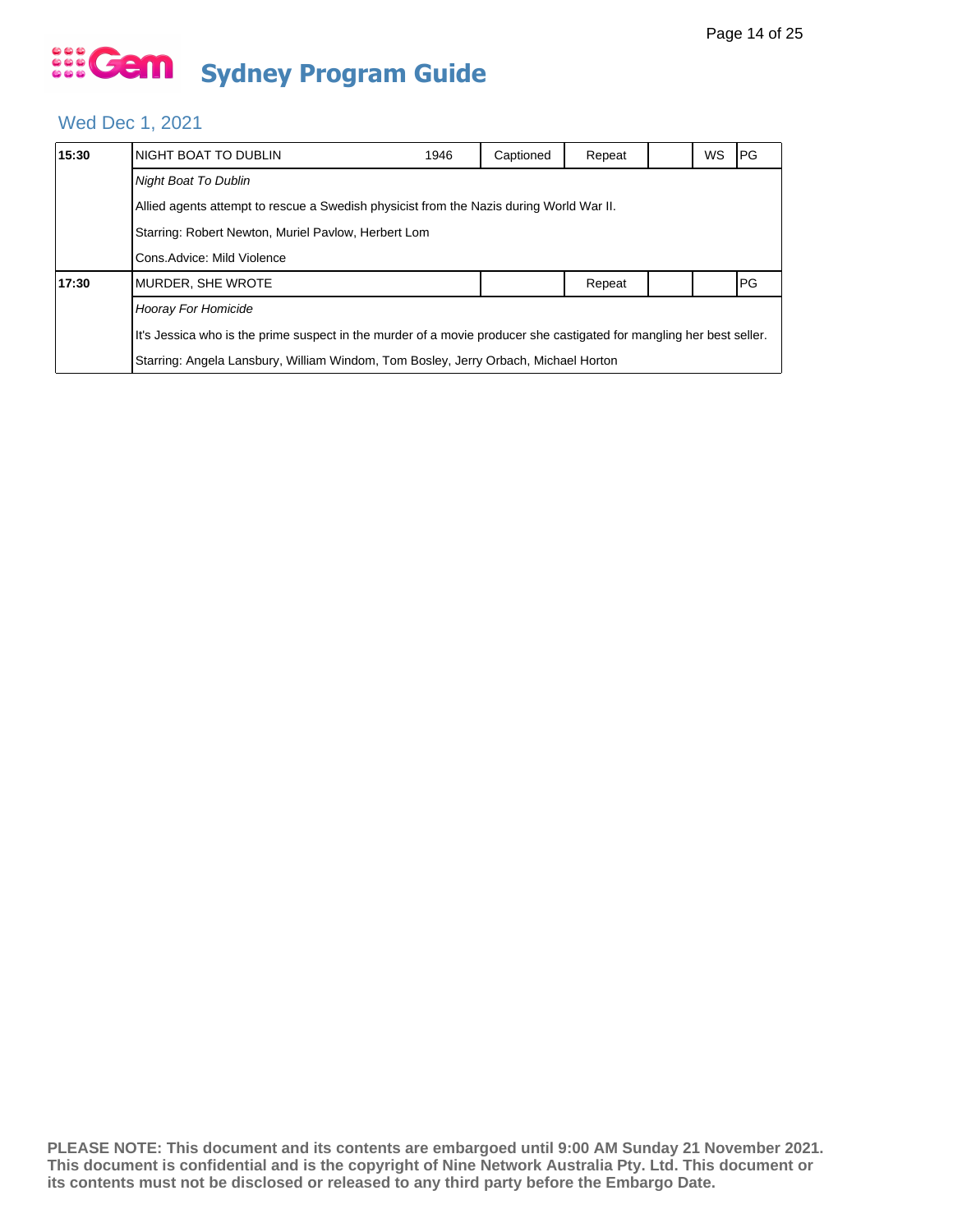### Wed Dec 1, 2021

| 15:30               | NIGHT BOAT TO DUBLIN                                                                                                 | 1946 | Captioned | Repeat |  | WS | IPG. |  |
|---------------------|----------------------------------------------------------------------------------------------------------------------|------|-----------|--------|--|----|------|--|
|                     | <b>Night Boat To Dublin</b>                                                                                          |      |           |        |  |    |      |  |
|                     | Allied agents attempt to rescue a Swedish physicist from the Nazis during World War II.                              |      |           |        |  |    |      |  |
|                     | Starring: Robert Newton, Muriel Pavlow, Herbert Lom<br>Cons. Advice: Mild Violence                                   |      |           |        |  |    |      |  |
|                     |                                                                                                                      |      |           |        |  |    |      |  |
| 17:30               | MURDER, SHE WROTE                                                                                                    |      |           | Repeat |  |    | PG   |  |
| Hooray For Homicide |                                                                                                                      |      |           |        |  |    |      |  |
|                     | It's Jessica who is the prime suspect in the murder of a movie producer she castigated for mangling her best seller. |      |           |        |  |    |      |  |
|                     | Starring: Angela Lansbury, William Windom, Tom Bosley, Jerry Orbach, Michael Horton                                  |      |           |        |  |    |      |  |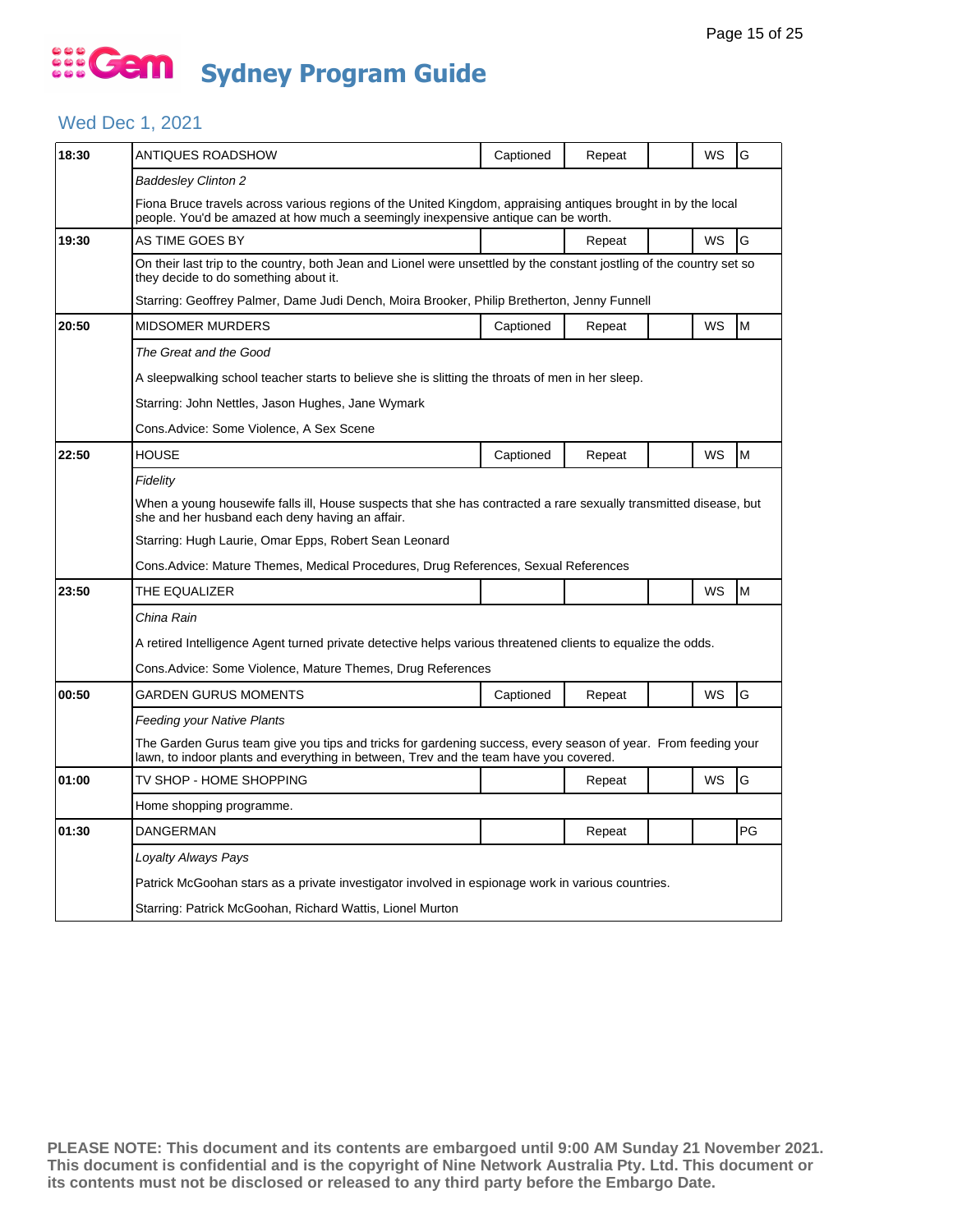### Wed Dec 1, 2021

| 18:30 | ANTIQUES ROADSHOW                                                                                                                                                                                      | Captioned | Repeat |  | WS        | G  |  |  |  |  |  |
|-------|--------------------------------------------------------------------------------------------------------------------------------------------------------------------------------------------------------|-----------|--------|--|-----------|----|--|--|--|--|--|
|       | Baddesley Clinton 2                                                                                                                                                                                    |           |        |  |           |    |  |  |  |  |  |
|       | Fiona Bruce travels across various regions of the United Kingdom, appraising antiques brought in by the local<br>people. You'd be amazed at how much a seemingly inexpensive antique can be worth.     |           |        |  |           |    |  |  |  |  |  |
| 19:30 | AS TIME GOES BY                                                                                                                                                                                        |           | Repeat |  | WS        | G  |  |  |  |  |  |
|       | On their last trip to the country, both Jean and Lionel were unsettled by the constant jostling of the country set so<br>they decide to do something about it.                                         |           |        |  |           |    |  |  |  |  |  |
|       | Starring: Geoffrey Palmer, Dame Judi Dench, Moira Brooker, Philip Bretherton, Jenny Funnell                                                                                                            |           |        |  |           |    |  |  |  |  |  |
| 20:50 | <b>MIDSOMER MURDERS</b>                                                                                                                                                                                | Captioned | Repeat |  | WS        | M  |  |  |  |  |  |
|       | The Great and the Good                                                                                                                                                                                 |           |        |  |           |    |  |  |  |  |  |
|       | A sleepwalking school teacher starts to believe she is slitting the throats of men in her sleep.                                                                                                       |           |        |  |           |    |  |  |  |  |  |
|       | Starring: John Nettles, Jason Hughes, Jane Wymark                                                                                                                                                      |           |        |  |           |    |  |  |  |  |  |
|       | Cons.Advice: Some Violence, A Sex Scene                                                                                                                                                                |           |        |  |           |    |  |  |  |  |  |
| 22:50 | <b>HOUSE</b>                                                                                                                                                                                           | Captioned | Repeat |  | <b>WS</b> | M  |  |  |  |  |  |
|       | Fidelity                                                                                                                                                                                               |           |        |  |           |    |  |  |  |  |  |
|       | When a young housewife falls ill, House suspects that she has contracted a rare sexually transmitted disease, but<br>she and her husband each deny having an affair.                                   |           |        |  |           |    |  |  |  |  |  |
|       | Starring: Hugh Laurie, Omar Epps, Robert Sean Leonard                                                                                                                                                  |           |        |  |           |    |  |  |  |  |  |
|       | Cons.Advice: Mature Themes, Medical Procedures, Drug References, Sexual References                                                                                                                     |           |        |  |           |    |  |  |  |  |  |
| 23:50 | THE EQUALIZER                                                                                                                                                                                          |           |        |  | WS        | M  |  |  |  |  |  |
|       | China Rain                                                                                                                                                                                             |           |        |  |           |    |  |  |  |  |  |
|       | A retired Intelligence Agent turned private detective helps various threatened clients to equalize the odds.                                                                                           |           |        |  |           |    |  |  |  |  |  |
|       | Cons.Advice: Some Violence, Mature Themes, Drug References                                                                                                                                             |           |        |  |           |    |  |  |  |  |  |
| 00:50 | GARDEN GURUS MOMENTS                                                                                                                                                                                   | Captioned | Repeat |  | WS        | G  |  |  |  |  |  |
|       | Feeding your Native Plants                                                                                                                                                                             |           |        |  |           |    |  |  |  |  |  |
|       | The Garden Gurus team give you tips and tricks for gardening success, every season of year. From feeding your<br>lawn, to indoor plants and everything in between, Trev and the team have you covered. |           |        |  |           |    |  |  |  |  |  |
| 01:00 | TV SHOP - HOME SHOPPING                                                                                                                                                                                |           | Repeat |  | <b>WS</b> | G  |  |  |  |  |  |
|       | Home shopping programme.                                                                                                                                                                               |           |        |  |           |    |  |  |  |  |  |
| 01:30 | <b>DANGERMAN</b>                                                                                                                                                                                       |           | Repeat |  |           | PG |  |  |  |  |  |
|       | Loyalty Always Pays                                                                                                                                                                                    |           |        |  |           |    |  |  |  |  |  |
|       | Patrick McGoohan stars as a private investigator involved in espionage work in various countries.                                                                                                      |           |        |  |           |    |  |  |  |  |  |
|       | Starring: Patrick McGoohan, Richard Wattis, Lionel Murton                                                                                                                                              |           |        |  |           |    |  |  |  |  |  |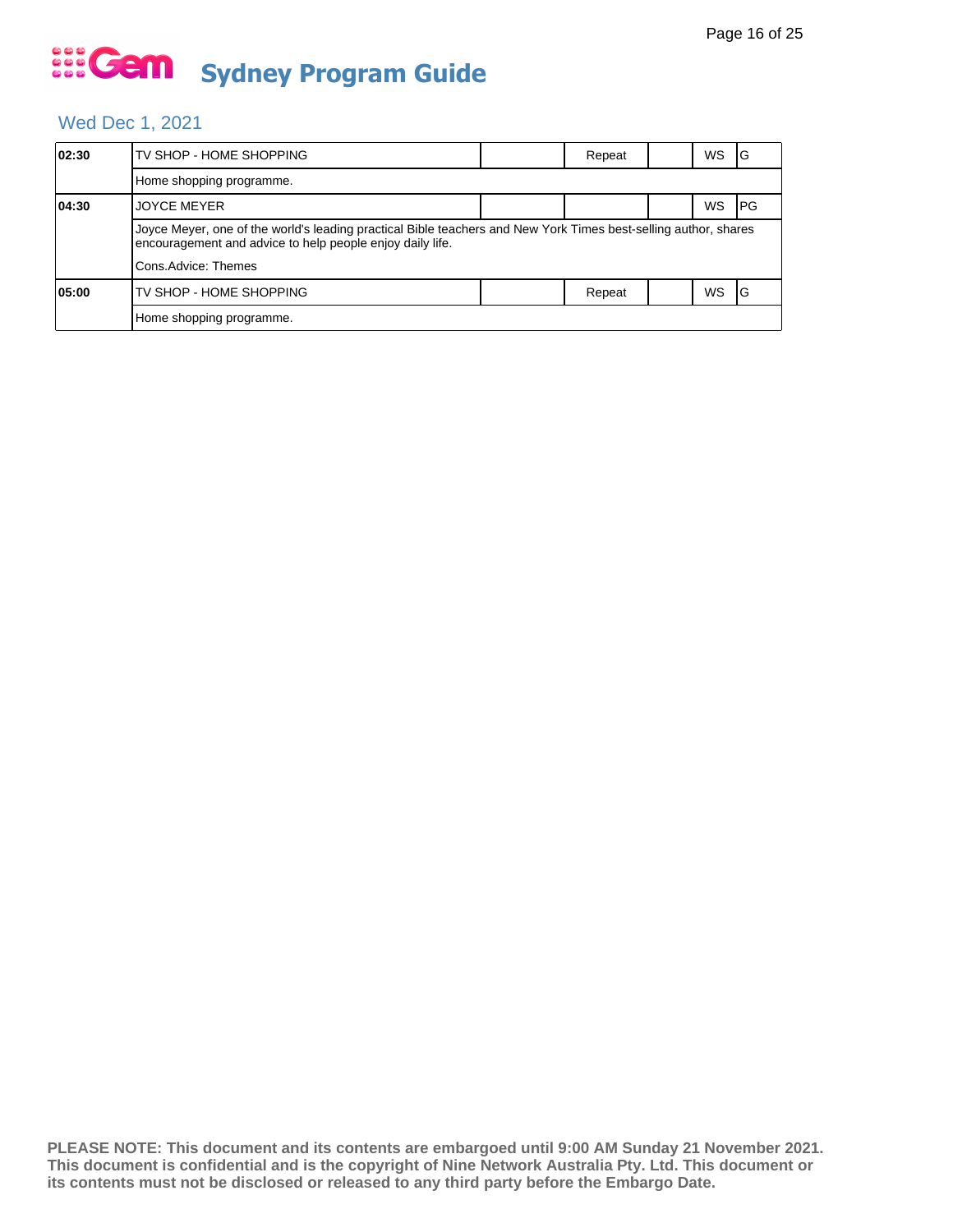### Wed Dec 1, 2021

| 02:30 | TV SHOP - HOME SHOPPING                                                                                                                                                      |  | Repeat |  | WS.       | IG   |  |  |
|-------|------------------------------------------------------------------------------------------------------------------------------------------------------------------------------|--|--------|--|-----------|------|--|--|
|       | Home shopping programme.                                                                                                                                                     |  |        |  |           |      |  |  |
| 04:30 | <b>JOYCE MEYER</b>                                                                                                                                                           |  |        |  | WS        | l PG |  |  |
|       | Joyce Meyer, one of the world's leading practical Bible teachers and New York Times best-selling author, shares<br>encouragement and advice to help people enjoy daily life. |  |        |  |           |      |  |  |
|       | Cons.Advice: Themes                                                                                                                                                          |  |        |  |           |      |  |  |
| 05:00 | TV SHOP - HOME SHOPPING                                                                                                                                                      |  | Repeat |  | <b>WS</b> | IG   |  |  |
|       | Home shopping programme.                                                                                                                                                     |  |        |  |           |      |  |  |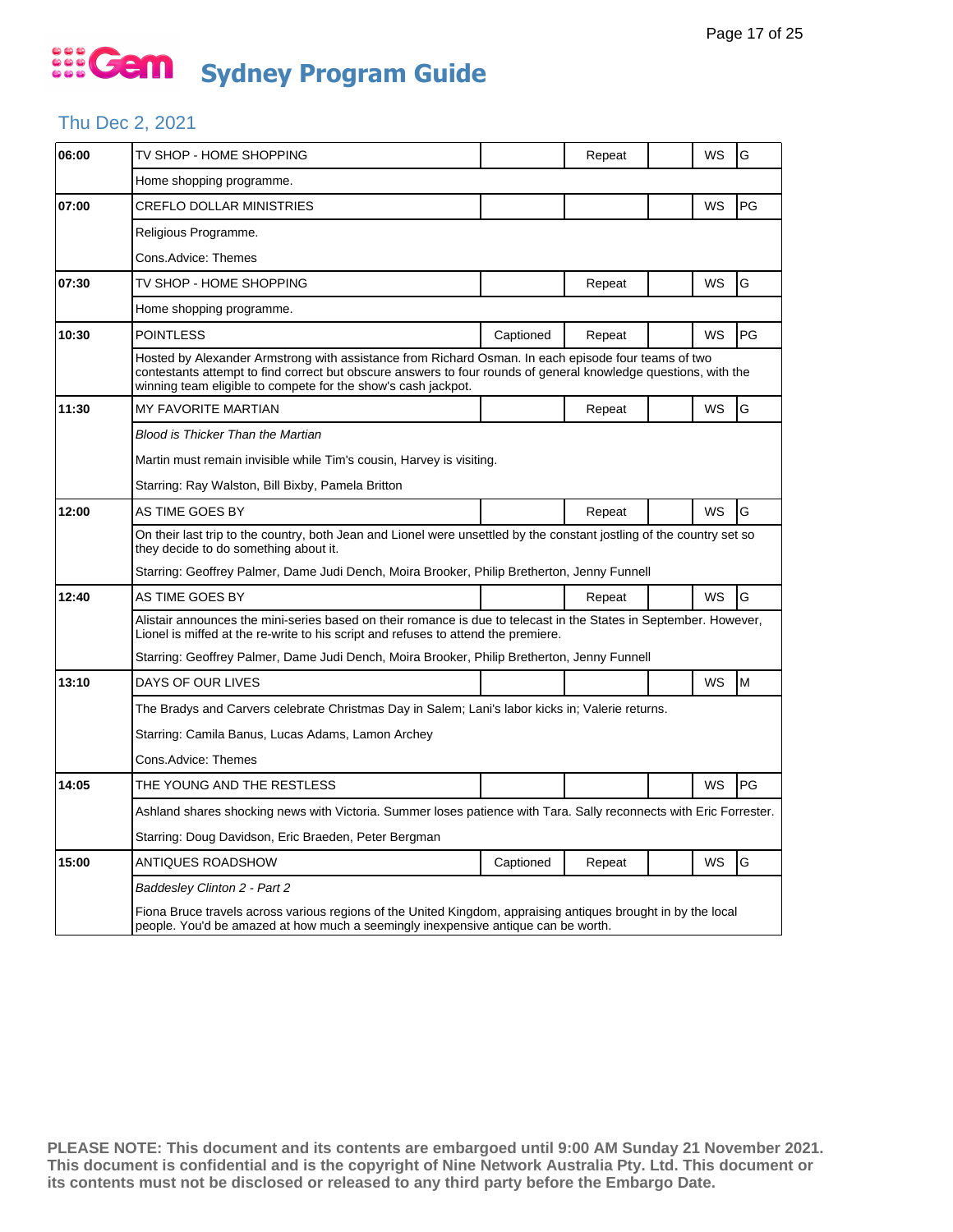### Thu Dec 2, 2021

| 06:00 | TV SHOP - HOME SHOPPING                                                                                                                                                                                                                                                                 |           | Repeat |  | WS        | G  |  |  |  |
|-------|-----------------------------------------------------------------------------------------------------------------------------------------------------------------------------------------------------------------------------------------------------------------------------------------|-----------|--------|--|-----------|----|--|--|--|
|       | Home shopping programme.                                                                                                                                                                                                                                                                |           |        |  |           |    |  |  |  |
| 07:00 | CREFLO DOLLAR MINISTRIES                                                                                                                                                                                                                                                                |           |        |  | WS        | PG |  |  |  |
|       | Religious Programme.                                                                                                                                                                                                                                                                    |           |        |  |           |    |  |  |  |
|       | Cons.Advice: Themes                                                                                                                                                                                                                                                                     |           |        |  |           |    |  |  |  |
| 07:30 | TV SHOP - HOME SHOPPING                                                                                                                                                                                                                                                                 |           | Repeat |  | WS        | G  |  |  |  |
|       | Home shopping programme.                                                                                                                                                                                                                                                                |           |        |  |           |    |  |  |  |
| 10:30 | <b>POINTLESS</b>                                                                                                                                                                                                                                                                        | Captioned | Repeat |  | WS        | PG |  |  |  |
|       | Hosted by Alexander Armstrong with assistance from Richard Osman. In each episode four teams of two<br>contestants attempt to find correct but obscure answers to four rounds of general knowledge questions, with the<br>winning team eligible to compete for the show's cash jackpot. |           |        |  |           |    |  |  |  |
| 11:30 | <b>MY FAVORITE MARTIAN</b>                                                                                                                                                                                                                                                              |           | Repeat |  | WS        | G  |  |  |  |
|       | Blood is Thicker Than the Martian                                                                                                                                                                                                                                                       |           |        |  |           |    |  |  |  |
|       | Martin must remain invisible while Tim's cousin, Harvey is visiting.                                                                                                                                                                                                                    |           |        |  |           |    |  |  |  |
|       | Starring: Ray Walston, Bill Bixby, Pamela Britton                                                                                                                                                                                                                                       |           |        |  |           |    |  |  |  |
| 12:00 | AS TIME GOES BY                                                                                                                                                                                                                                                                         |           | Repeat |  | WS        | G  |  |  |  |
|       | On their last trip to the country, both Jean and Lionel were unsettled by the constant jostling of the country set so<br>they decide to do something about it.                                                                                                                          |           |        |  |           |    |  |  |  |
|       | Starring: Geoffrey Palmer, Dame Judi Dench, Moira Brooker, Philip Bretherton, Jenny Funnell                                                                                                                                                                                             |           |        |  |           |    |  |  |  |
| 12:40 | AS TIME GOES BY                                                                                                                                                                                                                                                                         |           | Repeat |  | WS        | G  |  |  |  |
|       | Alistair announces the mini-series based on their romance is due to telecast in the States in September. However,<br>Lionel is miffed at the re-write to his script and refuses to attend the premiere.                                                                                 |           |        |  |           |    |  |  |  |
|       | Starring: Geoffrey Palmer, Dame Judi Dench, Moira Brooker, Philip Bretherton, Jenny Funnell                                                                                                                                                                                             |           |        |  |           |    |  |  |  |
| 13:10 | DAYS OF OUR LIVES                                                                                                                                                                                                                                                                       |           |        |  | <b>WS</b> | M  |  |  |  |
|       | The Bradys and Carvers celebrate Christmas Day in Salem; Lani's labor kicks in; Valerie returns.                                                                                                                                                                                        |           |        |  |           |    |  |  |  |
|       | Starring: Camila Banus, Lucas Adams, Lamon Archey                                                                                                                                                                                                                                       |           |        |  |           |    |  |  |  |
|       | Cons.Advice: Themes                                                                                                                                                                                                                                                                     |           |        |  |           |    |  |  |  |
| 14:05 | THE YOUNG AND THE RESTLESS                                                                                                                                                                                                                                                              |           |        |  | <b>WS</b> | PG |  |  |  |
|       | Ashland shares shocking news with Victoria. Summer loses patience with Tara. Sally reconnects with Eric Forrester.                                                                                                                                                                      |           |        |  |           |    |  |  |  |
|       | Starring: Doug Davidson, Eric Braeden, Peter Bergman                                                                                                                                                                                                                                    |           |        |  |           |    |  |  |  |
| 15:00 | ANTIQUES ROADSHOW                                                                                                                                                                                                                                                                       | Captioned | Repeat |  | WS        | G  |  |  |  |
|       | <b>Baddesley Clinton 2 - Part 2</b>                                                                                                                                                                                                                                                     |           |        |  |           |    |  |  |  |
|       | Fiona Bruce travels across various regions of the United Kingdom, appraising antiques brought in by the local<br>people. You'd be amazed at how much a seemingly inexpensive antique can be worth.                                                                                      |           |        |  |           |    |  |  |  |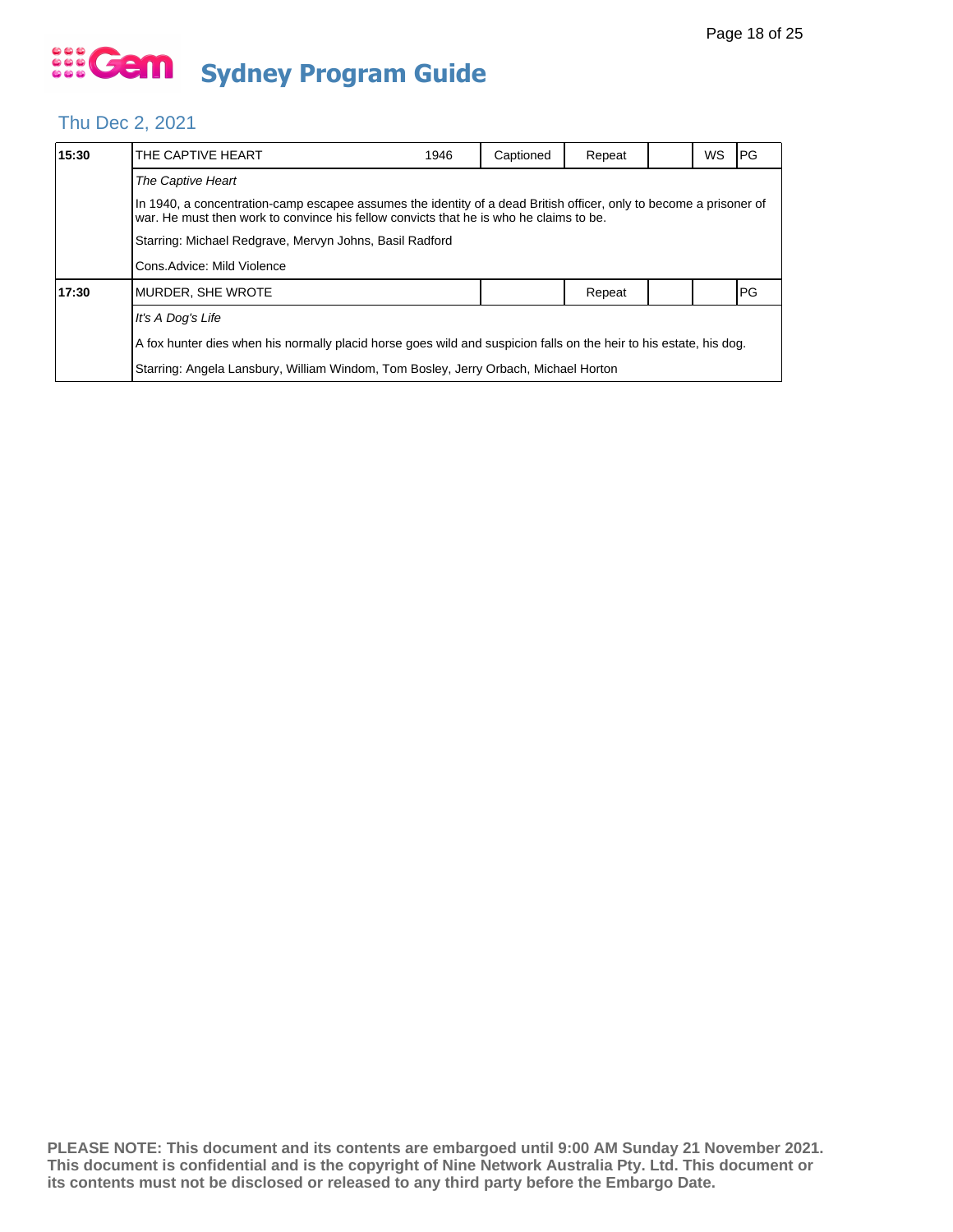#### Thu Dec 2, 2021

| 15:30 | THE CAPTIVE HEART                                                                                                                                                                                            | 1946                                                                                                               | Captioned | Repeat |  | WS | IPG. |  |  |  |
|-------|--------------------------------------------------------------------------------------------------------------------------------------------------------------------------------------------------------------|--------------------------------------------------------------------------------------------------------------------|-----------|--------|--|----|------|--|--|--|
|       | The Captive Heart                                                                                                                                                                                            |                                                                                                                    |           |        |  |    |      |  |  |  |
|       | In 1940, a concentration-camp escapee assumes the identity of a dead British officer, only to become a prisoner of<br>war. He must then work to convince his fellow convicts that he is who he claims to be. |                                                                                                                    |           |        |  |    |      |  |  |  |
|       | Starring: Michael Redgrave, Mervyn Johns, Basil Radford                                                                                                                                                      |                                                                                                                    |           |        |  |    |      |  |  |  |
|       | Cons.Advice: Mild Violence                                                                                                                                                                                   |                                                                                                                    |           |        |  |    |      |  |  |  |
| 17:30 | IMURDER. SHE WROTE                                                                                                                                                                                           |                                                                                                                    |           | Repeat |  |    | PG   |  |  |  |
|       | It's A Dog's Life                                                                                                                                                                                            |                                                                                                                    |           |        |  |    |      |  |  |  |
|       |                                                                                                                                                                                                              | A fox hunter dies when his normally placid horse goes wild and suspicion falls on the heir to his estate, his dog. |           |        |  |    |      |  |  |  |
|       | Starring: Angela Lansbury, William Windom, Tom Bosley, Jerry Orbach, Michael Horton                                                                                                                          |                                                                                                                    |           |        |  |    |      |  |  |  |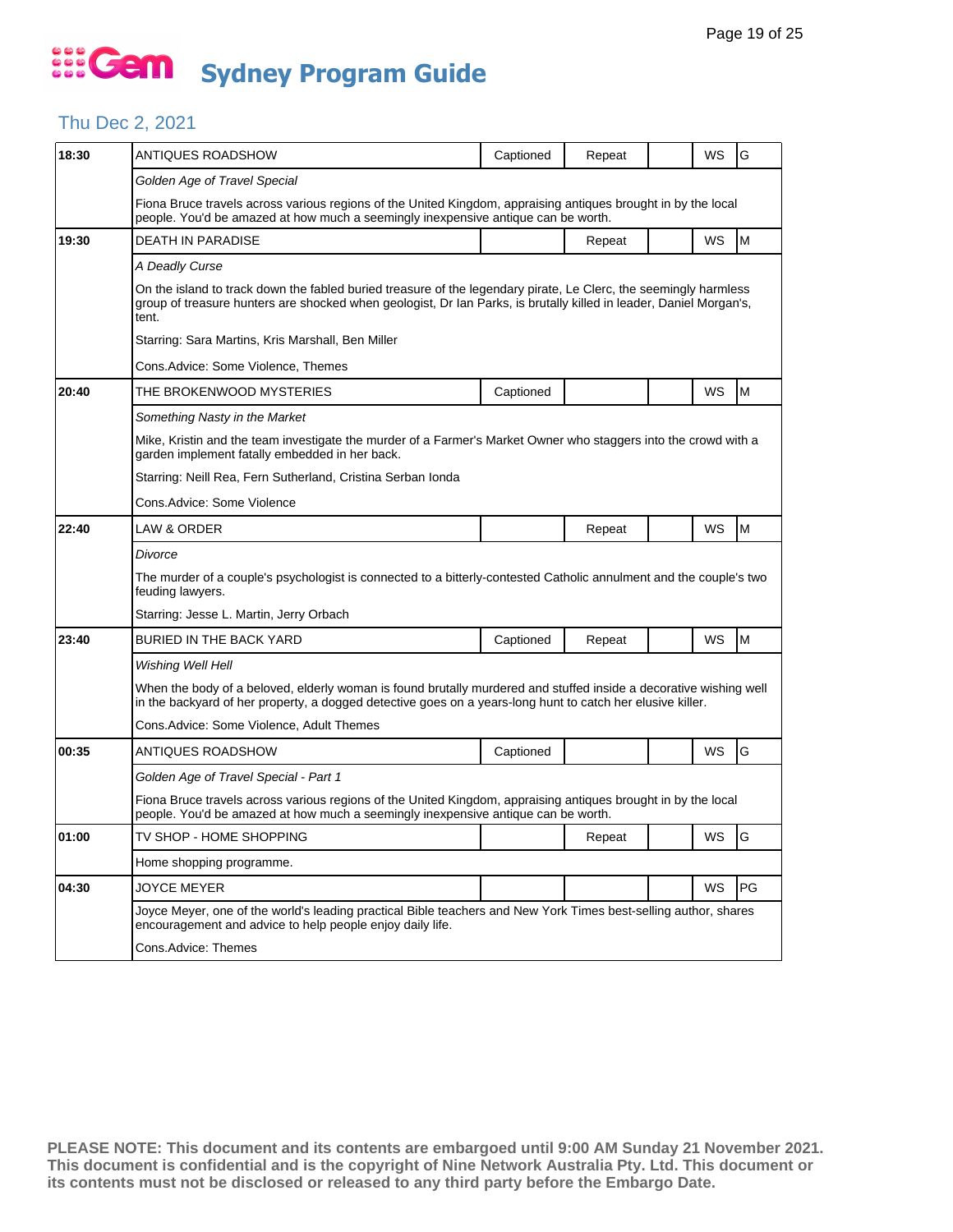### Thu Dec 2, 2021

| 18:30 | ANTIQUES ROADSHOW                                                                                                                                                                                                                               | Captioned | Repeat |  | WS | G                                                                                     |  |  |  |  |
|-------|-------------------------------------------------------------------------------------------------------------------------------------------------------------------------------------------------------------------------------------------------|-----------|--------|--|----|---------------------------------------------------------------------------------------|--|--|--|--|
|       | Golden Age of Travel Special                                                                                                                                                                                                                    |           |        |  |    |                                                                                       |  |  |  |  |
|       | Fiona Bruce travels across various regions of the United Kingdom, appraising antiques brought in by the local<br>people. You'd be amazed at how much a seemingly inexpensive antique can be worth.                                              |           |        |  |    |                                                                                       |  |  |  |  |
| 19:30 | <b>DEATH IN PARADISE</b>                                                                                                                                                                                                                        |           | Repeat |  | WS | $\mathsf{M}% _{T}=\mathsf{M}_{T}\!\left( a,b\right) ,\ \mathsf{M}_{T}=\mathsf{M}_{T}$ |  |  |  |  |
|       | A Deadly Curse                                                                                                                                                                                                                                  |           |        |  |    |                                                                                       |  |  |  |  |
|       | On the island to track down the fabled buried treasure of the legendary pirate, Le Clerc, the seemingly harmless<br>group of treasure hunters are shocked when geologist, Dr Ian Parks, is brutally killed in leader, Daniel Morgan's,<br>tent. |           |        |  |    |                                                                                       |  |  |  |  |
|       | Starring: Sara Martins, Kris Marshall, Ben Miller                                                                                                                                                                                               |           |        |  |    |                                                                                       |  |  |  |  |
|       | Cons.Advice: Some Violence, Themes                                                                                                                                                                                                              |           |        |  |    |                                                                                       |  |  |  |  |
| 20:40 | THE BROKENWOOD MYSTERIES                                                                                                                                                                                                                        | Captioned |        |  | WS | M                                                                                     |  |  |  |  |
|       | Something Nasty in the Market                                                                                                                                                                                                                   |           |        |  |    |                                                                                       |  |  |  |  |
|       | Mike, Kristin and the team investigate the murder of a Farmer's Market Owner who staggers into the crowd with a<br>garden implement fatally embedded in her back.                                                                               |           |        |  |    |                                                                                       |  |  |  |  |
|       | Starring: Neill Rea, Fern Sutherland, Cristina Serban Ionda                                                                                                                                                                                     |           |        |  |    |                                                                                       |  |  |  |  |
|       | Cons.Advice: Some Violence                                                                                                                                                                                                                      |           |        |  |    |                                                                                       |  |  |  |  |
| 22:40 | <b>LAW &amp; ORDER</b>                                                                                                                                                                                                                          |           | Repeat |  | WS | M                                                                                     |  |  |  |  |
|       | Divorce                                                                                                                                                                                                                                         |           |        |  |    |                                                                                       |  |  |  |  |
|       | The murder of a couple's psychologist is connected to a bitterly-contested Catholic annulment and the couple's two<br>feuding lawyers.                                                                                                          |           |        |  |    |                                                                                       |  |  |  |  |
|       | Starring: Jesse L. Martin, Jerry Orbach                                                                                                                                                                                                         |           |        |  |    |                                                                                       |  |  |  |  |
| 23:40 | BURIED IN THE BACK YARD                                                                                                                                                                                                                         | Captioned | Repeat |  | WS | M                                                                                     |  |  |  |  |
|       | Wishing Well Hell                                                                                                                                                                                                                               |           |        |  |    |                                                                                       |  |  |  |  |
|       | When the body of a beloved, elderly woman is found brutally murdered and stuffed inside a decorative wishing well<br>in the backyard of her property, a dogged detective goes on a years-long hunt to catch her elusive killer.                 |           |        |  |    |                                                                                       |  |  |  |  |
|       | Cons.Advice: Some Violence, Adult Themes                                                                                                                                                                                                        |           |        |  |    |                                                                                       |  |  |  |  |
| 00:35 | ANTIQUES ROADSHOW                                                                                                                                                                                                                               | Captioned |        |  | WS | G                                                                                     |  |  |  |  |
|       | Golden Age of Travel Special - Part 1                                                                                                                                                                                                           |           |        |  |    |                                                                                       |  |  |  |  |
|       | Fiona Bruce travels across various regions of the United Kingdom, appraising antiques brought in by the local<br>people. You'd be amazed at how much a seemingly inexpensive antique can be worth.                                              |           |        |  |    |                                                                                       |  |  |  |  |
| 01:00 | TV SHOP - HOME SHOPPING                                                                                                                                                                                                                         |           | Repeat |  | WS | <b>I</b> G                                                                            |  |  |  |  |
|       | Home shopping programme.                                                                                                                                                                                                                        |           |        |  |    |                                                                                       |  |  |  |  |
| 04:30 | <b>JOYCE MEYER</b>                                                                                                                                                                                                                              |           |        |  | WS | PG                                                                                    |  |  |  |  |
|       | Joyce Meyer, one of the world's leading practical Bible teachers and New York Times best-selling author, shares<br>encouragement and advice to help people enjoy daily life.                                                                    |           |        |  |    |                                                                                       |  |  |  |  |
|       | Cons.Advice: Themes                                                                                                                                                                                                                             |           |        |  |    |                                                                                       |  |  |  |  |
|       |                                                                                                                                                                                                                                                 |           |        |  |    |                                                                                       |  |  |  |  |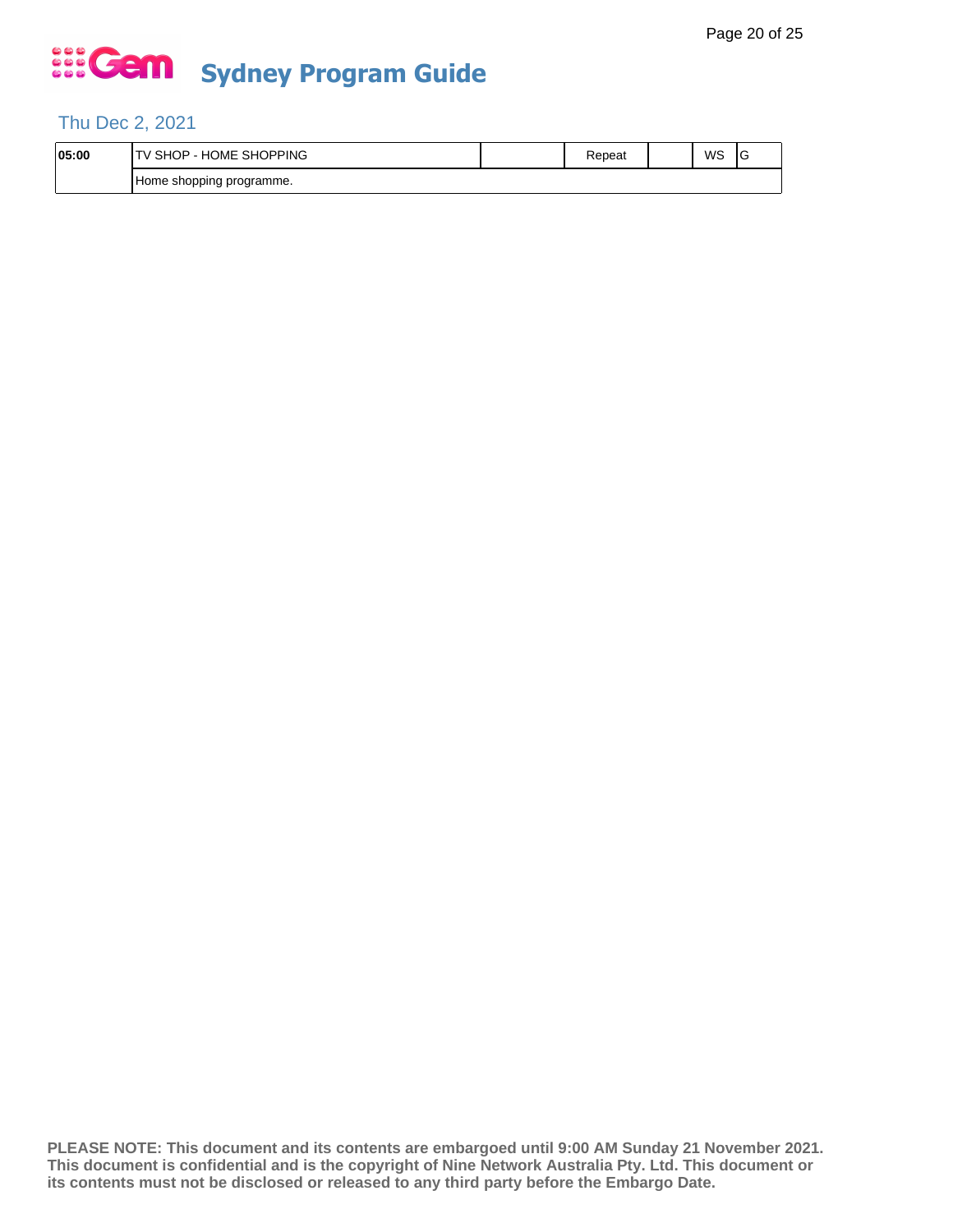#### Thu Dec 2, 2021

| 05:00 | - HOME SHOPPING<br><b>SHOP</b> | Repeat | WS | v |
|-------|--------------------------------|--------|----|---|
|       | Home shopping programme.       |        |    |   |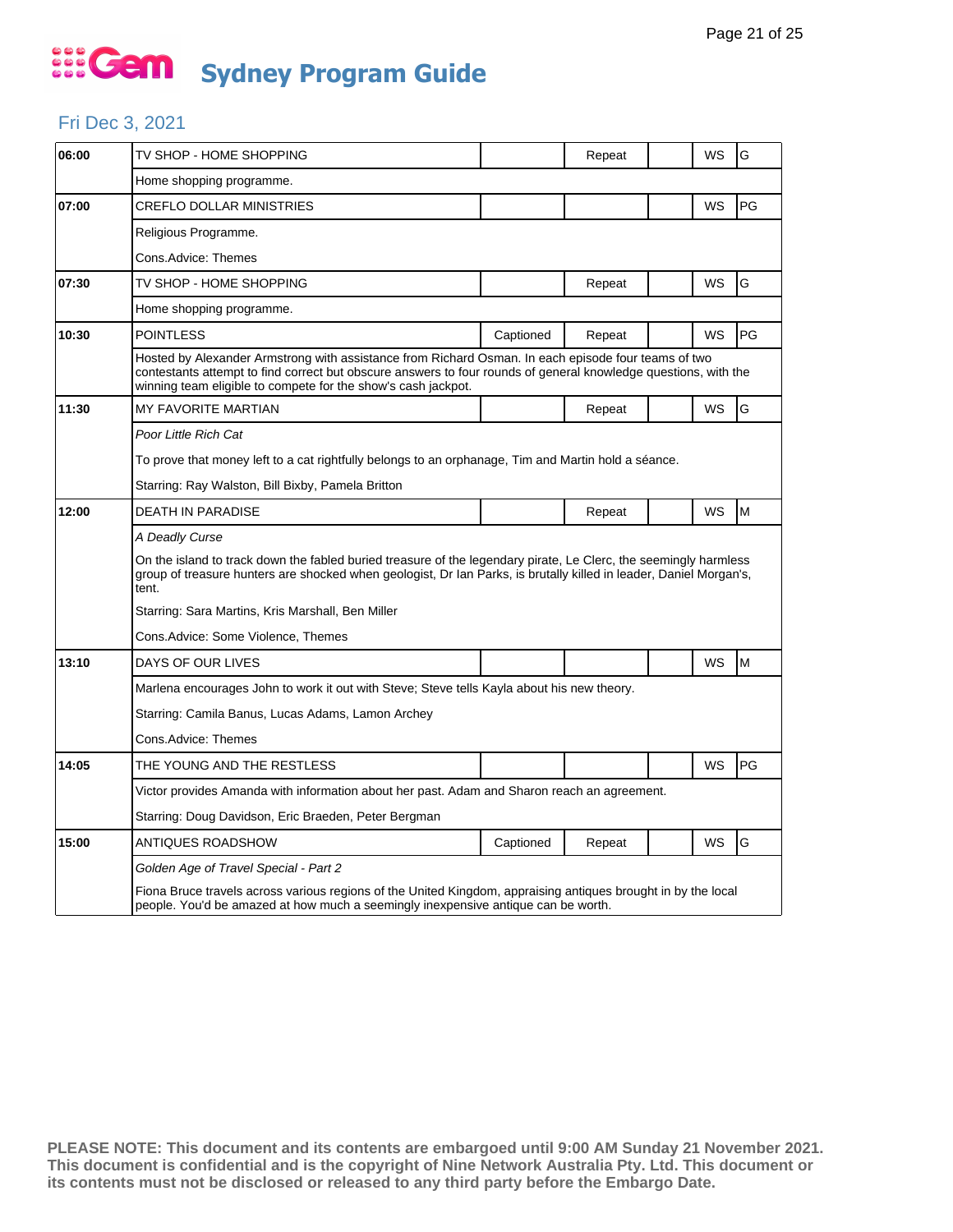#### Fri Dec 3, 2021

| 06:00 | TV SHOP - HOME SHOPPING                                                                                                                                                                                                                                                                 |           | Repeat |  | WS | G  |  |  |  |  |
|-------|-----------------------------------------------------------------------------------------------------------------------------------------------------------------------------------------------------------------------------------------------------------------------------------------|-----------|--------|--|----|----|--|--|--|--|
|       | Home shopping programme.                                                                                                                                                                                                                                                                |           |        |  |    |    |  |  |  |  |
| 07:00 | CREFLO DOLLAR MINISTRIES                                                                                                                                                                                                                                                                |           |        |  | WS | PG |  |  |  |  |
|       | Religious Programme.                                                                                                                                                                                                                                                                    |           |        |  |    |    |  |  |  |  |
|       | Cons.Advice: Themes                                                                                                                                                                                                                                                                     |           |        |  |    |    |  |  |  |  |
| 07:30 | TV SHOP - HOME SHOPPING                                                                                                                                                                                                                                                                 |           | Repeat |  | WS | G  |  |  |  |  |
|       | Home shopping programme.                                                                                                                                                                                                                                                                |           |        |  |    |    |  |  |  |  |
| 10:30 | <b>POINTLESS</b>                                                                                                                                                                                                                                                                        | Captioned | Repeat |  | WS | PG |  |  |  |  |
|       | Hosted by Alexander Armstrong with assistance from Richard Osman. In each episode four teams of two<br>contestants attempt to find correct but obscure answers to four rounds of general knowledge questions, with the<br>winning team eligible to compete for the show's cash jackpot. |           |        |  |    |    |  |  |  |  |
| 11:30 | <b>MY FAVORITE MARTIAN</b>                                                                                                                                                                                                                                                              |           | Repeat |  | WS | G  |  |  |  |  |
|       | Poor Little Rich Cat                                                                                                                                                                                                                                                                    |           |        |  |    |    |  |  |  |  |
|       | To prove that money left to a cat rightfully belongs to an orphanage, Tim and Martin hold a séance.                                                                                                                                                                                     |           |        |  |    |    |  |  |  |  |
|       | Starring: Ray Walston, Bill Bixby, Pamela Britton                                                                                                                                                                                                                                       |           |        |  |    |    |  |  |  |  |
| 12:00 | <b>DEATH IN PARADISE</b>                                                                                                                                                                                                                                                                |           | Repeat |  | WS | M  |  |  |  |  |
|       | A Deadly Curse                                                                                                                                                                                                                                                                          |           |        |  |    |    |  |  |  |  |
|       | On the island to track down the fabled buried treasure of the legendary pirate, Le Clerc, the seemingly harmless<br>group of treasure hunters are shocked when geologist, Dr Ian Parks, is brutally killed in leader, Daniel Morgan's,<br>tent.                                         |           |        |  |    |    |  |  |  |  |
|       | Starring: Sara Martins, Kris Marshall, Ben Miller                                                                                                                                                                                                                                       |           |        |  |    |    |  |  |  |  |
|       | Cons.Advice: Some Violence, Themes                                                                                                                                                                                                                                                      |           |        |  |    |    |  |  |  |  |
| 13:10 | DAYS OF OUR LIVES                                                                                                                                                                                                                                                                       |           |        |  | WS | M  |  |  |  |  |
|       | Marlena encourages John to work it out with Steve; Steve tells Kayla about his new theory.                                                                                                                                                                                              |           |        |  |    |    |  |  |  |  |
|       | Starring: Camila Banus, Lucas Adams, Lamon Archey                                                                                                                                                                                                                                       |           |        |  |    |    |  |  |  |  |
|       | Cons.Advice: Themes                                                                                                                                                                                                                                                                     |           |        |  |    |    |  |  |  |  |
| 14:05 | THE YOUNG AND THE RESTLESS                                                                                                                                                                                                                                                              |           |        |  | WS | PG |  |  |  |  |
|       | Victor provides Amanda with information about her past. Adam and Sharon reach an agreement.                                                                                                                                                                                             |           |        |  |    |    |  |  |  |  |
|       | Starring: Doug Davidson, Eric Braeden, Peter Bergman                                                                                                                                                                                                                                    |           |        |  |    |    |  |  |  |  |
| 15:00 | ANTIQUES ROADSHOW                                                                                                                                                                                                                                                                       | Captioned | Repeat |  | WS | G  |  |  |  |  |
|       | Golden Age of Travel Special - Part 2                                                                                                                                                                                                                                                   |           |        |  |    |    |  |  |  |  |
|       | Fiona Bruce travels across various regions of the United Kingdom, appraising antiques brought in by the local<br>people. You'd be amazed at how much a seemingly inexpensive antique can be worth.                                                                                      |           |        |  |    |    |  |  |  |  |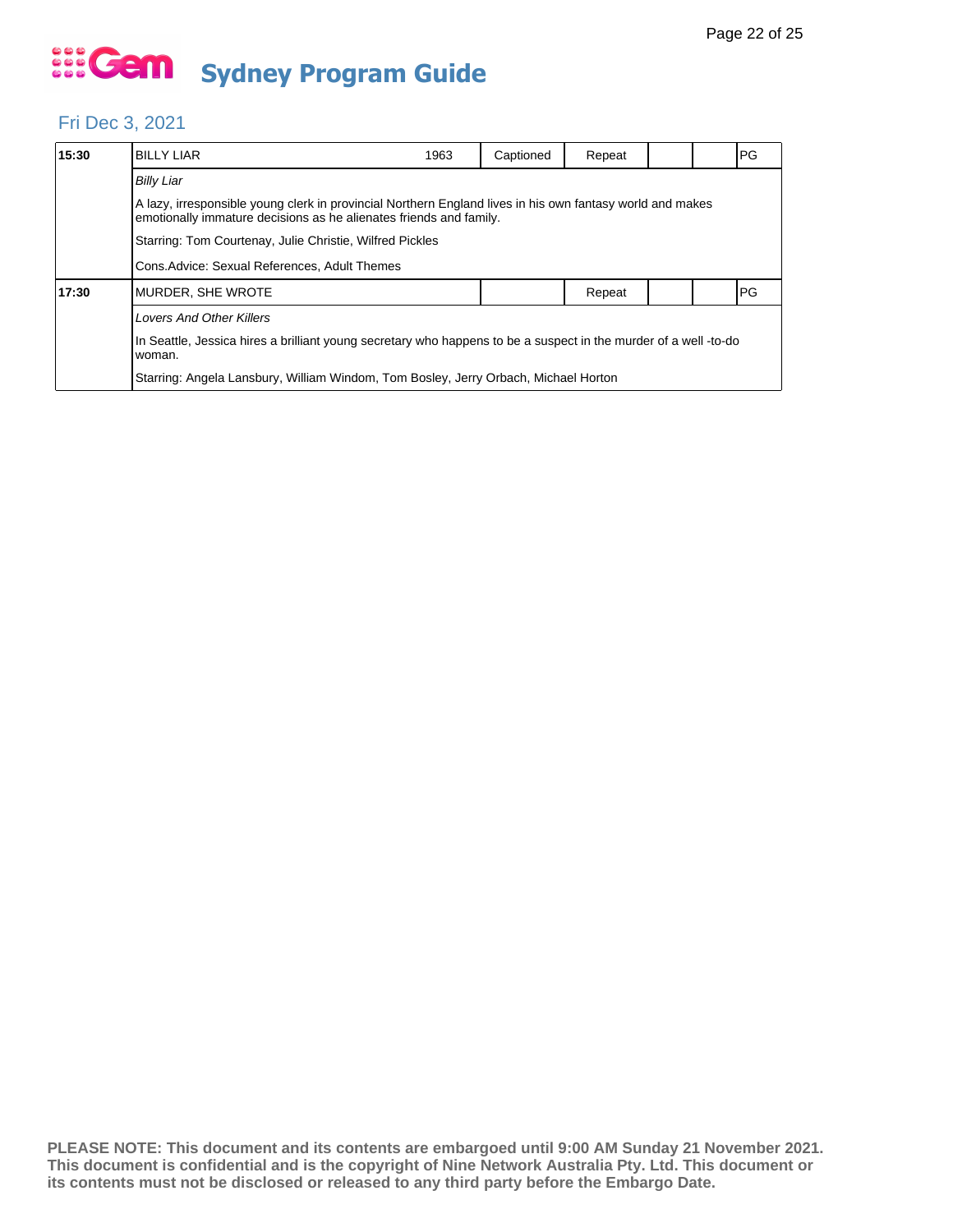#### Fri Dec 3, 2021

| 15:30 | <b>BILLY LIAR</b>                                                                                                                                                               | 1963                                                                                | Captioned | Repeat |  |  | <b>PG</b> |  |  |
|-------|---------------------------------------------------------------------------------------------------------------------------------------------------------------------------------|-------------------------------------------------------------------------------------|-----------|--------|--|--|-----------|--|--|
|       | <b>Billy Liar</b>                                                                                                                                                               |                                                                                     |           |        |  |  |           |  |  |
|       | A lazy, irresponsible young clerk in provincial Northern England lives in his own fantasy world and makes<br>emotionally immature decisions as he alienates friends and family. |                                                                                     |           |        |  |  |           |  |  |
|       | Starring: Tom Courtenay, Julie Christie, Wilfred Pickles                                                                                                                        |                                                                                     |           |        |  |  |           |  |  |
|       | Cons. Advice: Sexual References, Adult Themes                                                                                                                                   |                                                                                     |           |        |  |  |           |  |  |
| 17:30 | MURDER, SHE WROTE                                                                                                                                                               |                                                                                     |           | Repeat |  |  | PG        |  |  |
|       | <b>Lovers And Other Killers</b>                                                                                                                                                 |                                                                                     |           |        |  |  |           |  |  |
|       | In Seattle, Jessica hires a brilliant young secretary who happens to be a suspect in the murder of a well -to-do<br>woman.                                                      |                                                                                     |           |        |  |  |           |  |  |
|       |                                                                                                                                                                                 | Starring: Angela Lansbury, William Windom, Tom Bosley, Jerry Orbach, Michael Horton |           |        |  |  |           |  |  |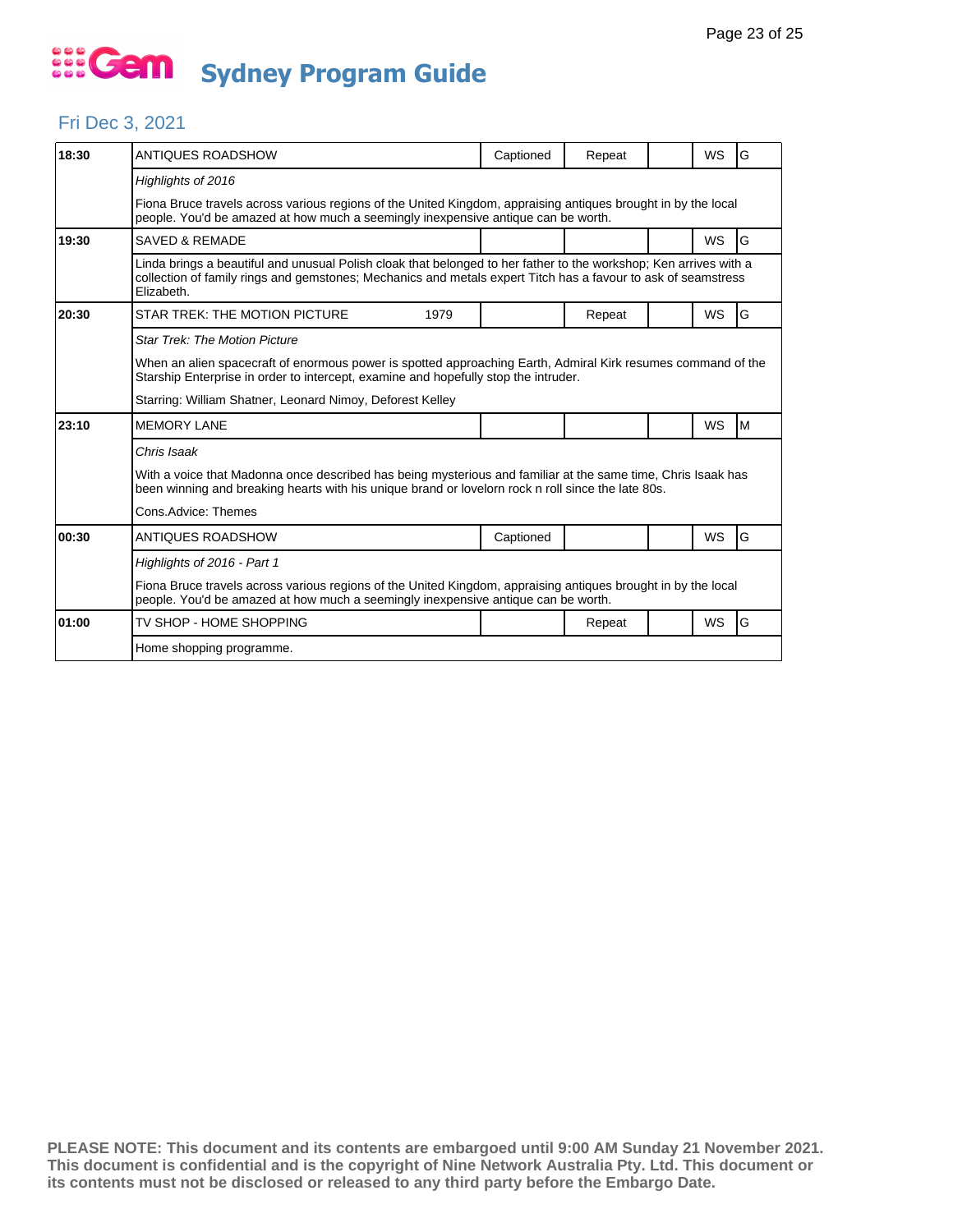#### Fri Dec 3, 2021

| 18:30 | <b>ANTIQUES ROADSHOW</b>                                                                                                                                                                                                                         | Captioned | Repeat |  | <b>WS</b> | G |  |  |  |
|-------|--------------------------------------------------------------------------------------------------------------------------------------------------------------------------------------------------------------------------------------------------|-----------|--------|--|-----------|---|--|--|--|
|       | Highlights of 2016                                                                                                                                                                                                                               |           |        |  |           |   |  |  |  |
|       | Fiona Bruce travels across various regions of the United Kingdom, appraising antiques brought in by the local<br>people. You'd be amazed at how much a seemingly inexpensive antique can be worth.                                               |           |        |  |           |   |  |  |  |
| 19:30 | <b>SAVED &amp; REMADE</b>                                                                                                                                                                                                                        |           |        |  | <b>WS</b> | G |  |  |  |
|       | Linda brings a beautiful and unusual Polish cloak that belonged to her father to the workshop; Ken arrives with a<br>collection of family rings and gemstones; Mechanics and metals expert Titch has a favour to ask of seamstress<br>Elizabeth. |           |        |  |           |   |  |  |  |
| 20:30 | STAR TREK: THE MOTION PICTURE<br>1979                                                                                                                                                                                                            |           | Repeat |  | <b>WS</b> | G |  |  |  |
|       | <b>Star Trek: The Motion Picture</b>                                                                                                                                                                                                             |           |        |  |           |   |  |  |  |
|       | When an alien spacecraft of enormous power is spotted approaching Earth, Admiral Kirk resumes command of the<br>Starship Enterprise in order to intercept, examine and hopefully stop the intruder.                                              |           |        |  |           |   |  |  |  |
|       | Starring: William Shatner, Leonard Nimoy, Deforest Kelley                                                                                                                                                                                        |           |        |  |           |   |  |  |  |
| 23:10 | <b>MEMORY LANE</b>                                                                                                                                                                                                                               |           |        |  | <b>WS</b> | M |  |  |  |
|       | Chris Isaak                                                                                                                                                                                                                                      |           |        |  |           |   |  |  |  |
|       | With a voice that Madonna once described has being mysterious and familiar at the same time, Chris Isaak has<br>been winning and breaking hearts with his unique brand or lovelorn rock n roll since the late 80s.                               |           |        |  |           |   |  |  |  |
|       | Cons.Advice: Themes                                                                                                                                                                                                                              |           |        |  |           |   |  |  |  |
| 00:30 | ANTIQUES ROADSHOW                                                                                                                                                                                                                                | Captioned |        |  | WS        | G |  |  |  |
|       | Highlights of 2016 - Part 1                                                                                                                                                                                                                      |           |        |  |           |   |  |  |  |
|       | Fiona Bruce travels across various regions of the United Kingdom, appraising antiques brought in by the local<br>people. You'd be amazed at how much a seemingly inexpensive antique can be worth.                                               |           |        |  |           |   |  |  |  |
| 01:00 | TV SHOP - HOME SHOPPING                                                                                                                                                                                                                          |           | Repeat |  | <b>WS</b> | G |  |  |  |
|       | Home shopping programme.                                                                                                                                                                                                                         |           |        |  |           |   |  |  |  |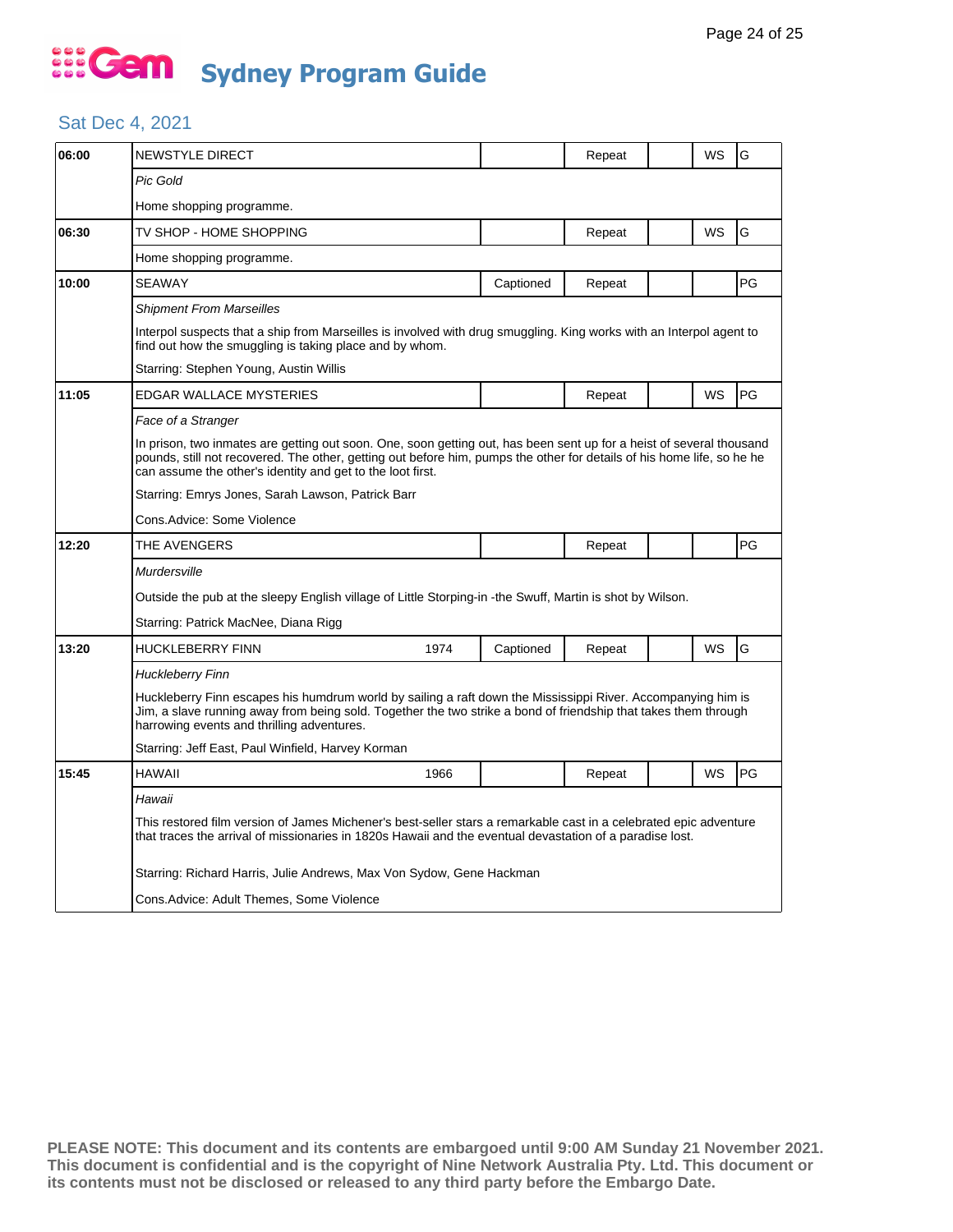#### Sat Dec 4, 2021

| 06:00 | NEWSTYLE DIRECT                                                                                                                                                                                                                                                                                              |                                                                      |           | Repeat |  | WS | G  |  |  |
|-------|--------------------------------------------------------------------------------------------------------------------------------------------------------------------------------------------------------------------------------------------------------------------------------------------------------------|----------------------------------------------------------------------|-----------|--------|--|----|----|--|--|
|       | Pic Gold                                                                                                                                                                                                                                                                                                     |                                                                      |           |        |  |    |    |  |  |
|       | Home shopping programme.                                                                                                                                                                                                                                                                                     |                                                                      |           |        |  |    |    |  |  |
| 06:30 | TV SHOP - HOME SHOPPING                                                                                                                                                                                                                                                                                      |                                                                      |           | Repeat |  | WS | G  |  |  |
|       | Home shopping programme.                                                                                                                                                                                                                                                                                     |                                                                      |           |        |  |    |    |  |  |
| 10:00 | <b>SEAWAY</b>                                                                                                                                                                                                                                                                                                |                                                                      | Captioned | Repeat |  |    | PG |  |  |
|       | <b>Shipment From Marseilles</b>                                                                                                                                                                                                                                                                              |                                                                      |           |        |  |    |    |  |  |
|       | Interpol suspects that a ship from Marseilles is involved with drug smuggling. King works with an Interpol agent to<br>find out how the smuggling is taking place and by whom.                                                                                                                               |                                                                      |           |        |  |    |    |  |  |
|       | Starring: Stephen Young, Austin Willis                                                                                                                                                                                                                                                                       |                                                                      |           |        |  |    |    |  |  |
| 11:05 | <b>EDGAR WALLACE MYSTERIES</b>                                                                                                                                                                                                                                                                               |                                                                      |           | Repeat |  | WS | PG |  |  |
|       | Face of a Stranger                                                                                                                                                                                                                                                                                           |                                                                      |           |        |  |    |    |  |  |
|       | In prison, two inmates are getting out soon. One, soon getting out, has been sent up for a heist of several thousand<br>pounds, still not recovered. The other, getting out before him, pumps the other for details of his home life, so he he<br>can assume the other's identity and get to the loot first. |                                                                      |           |        |  |    |    |  |  |
|       | Starring: Emrys Jones, Sarah Lawson, Patrick Barr                                                                                                                                                                                                                                                            |                                                                      |           |        |  |    |    |  |  |
|       | Cons.Advice: Some Violence                                                                                                                                                                                                                                                                                   |                                                                      |           |        |  |    |    |  |  |
| 12:20 | THE AVENGERS                                                                                                                                                                                                                                                                                                 |                                                                      |           | Repeat |  |    | PG |  |  |
|       | Murdersville                                                                                                                                                                                                                                                                                                 |                                                                      |           |        |  |    |    |  |  |
|       | Outside the pub at the sleepy English village of Little Storping-in -the Swuff, Martin is shot by Wilson.                                                                                                                                                                                                    |                                                                      |           |        |  |    |    |  |  |
|       | Starring: Patrick MacNee, Diana Rigg                                                                                                                                                                                                                                                                         |                                                                      |           |        |  |    |    |  |  |
| 13:20 | <b>HUCKLEBERRY FINN</b>                                                                                                                                                                                                                                                                                      | 1974                                                                 | Captioned | Repeat |  | WS | G  |  |  |
|       | Huckleberry Finn                                                                                                                                                                                                                                                                                             |                                                                      |           |        |  |    |    |  |  |
|       | Huckleberry Finn escapes his humdrum world by sailing a raft down the Mississippi River. Accompanying him is<br>Jim, a slave running away from being sold. Together the two strike a bond of friendship that takes them through<br>harrowing events and thrilling adventures.                                |                                                                      |           |        |  |    |    |  |  |
|       | Starring: Jeff East, Paul Winfield, Harvey Korman                                                                                                                                                                                                                                                            |                                                                      |           |        |  |    |    |  |  |
| 15:45 | HAWAII                                                                                                                                                                                                                                                                                                       | 1966                                                                 |           | Repeat |  | WS | PG |  |  |
|       | Hawaii                                                                                                                                                                                                                                                                                                       |                                                                      |           |        |  |    |    |  |  |
|       | This restored film version of James Michener's best-seller stars a remarkable cast in a celebrated epic adventure<br>that traces the arrival of missionaries in 1820s Hawaii and the eventual devastation of a paradise lost.                                                                                |                                                                      |           |        |  |    |    |  |  |
|       |                                                                                                                                                                                                                                                                                                              | Starring: Richard Harris, Julie Andrews, Max Von Sydow, Gene Hackman |           |        |  |    |    |  |  |
|       | Cons.Advice: Adult Themes, Some Violence                                                                                                                                                                                                                                                                     |                                                                      |           |        |  |    |    |  |  |